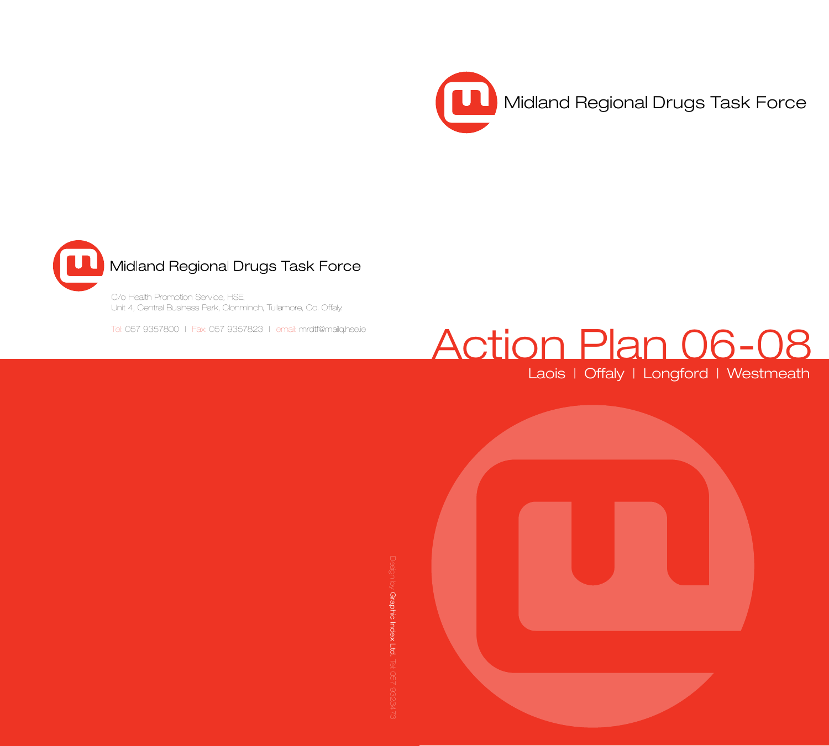



Unit 4, Central Business Park, Clonminch, Tullamore, Co. Offaly.

Tel: 057 9357800 | Fax: 057 9357823 | email: mrdtf@mailq.hse.ie

# Action Plan 06-08

Laois | Offaly | Longford | Westmeath

 $\circledcirc$  Graphic Index Ltd. Graphic Index Ltd.

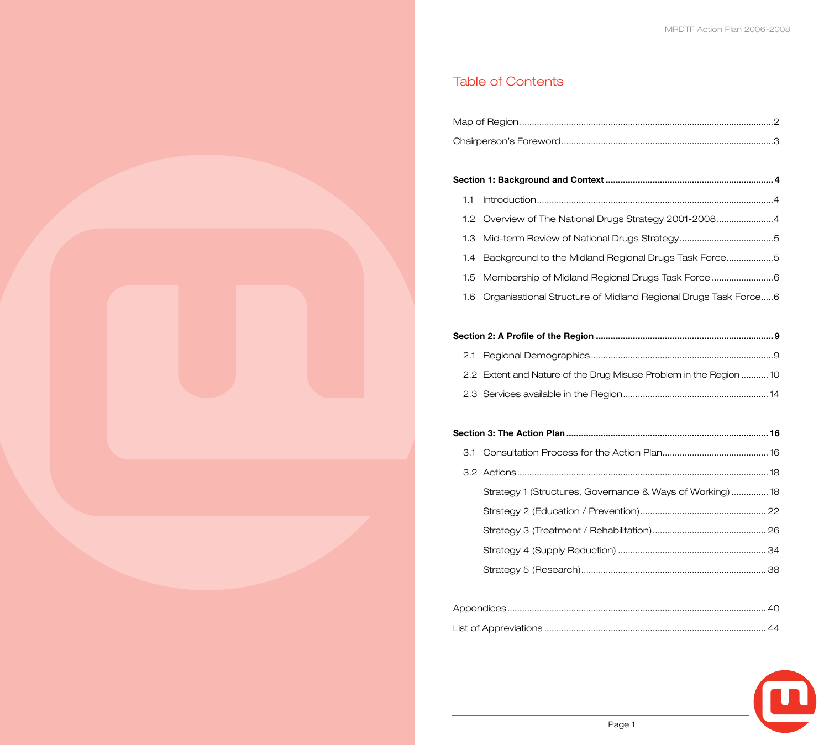## Table of Contents

## **Section 1: Background and Context .................................................................... 4** 1.1 Introduction................................................................................................4 1.2 Overview of The National Drugs Strategy 2001-2008.......................4

1.4 Background to the Midland Regional Drugs Task Force...................5

1.3 Mid-term Review of National Drugs Strategy......................................5

- 1.5 Membership of Midland Regional Drugs Task Force.........................6
- 1.6 Organisational Structure of Midland Regional Drugs Task Force.....6

## **Section 2: A Profile of the Region ........................................................................ 9**

| 2.2 Extent and Nature of the Drug Misuse Problem in the Region 10 |  |
|-------------------------------------------------------------------|--|
|                                                                   |  |

#### **Section 3: The Action Plan .................................................................................. 16**

| Strategy 1 (Structures, Governance & Ways of Working) 18 |  |
|----------------------------------------------------------|--|
|                                                          |  |
|                                                          |  |
|                                                          |  |
|                                                          |  |

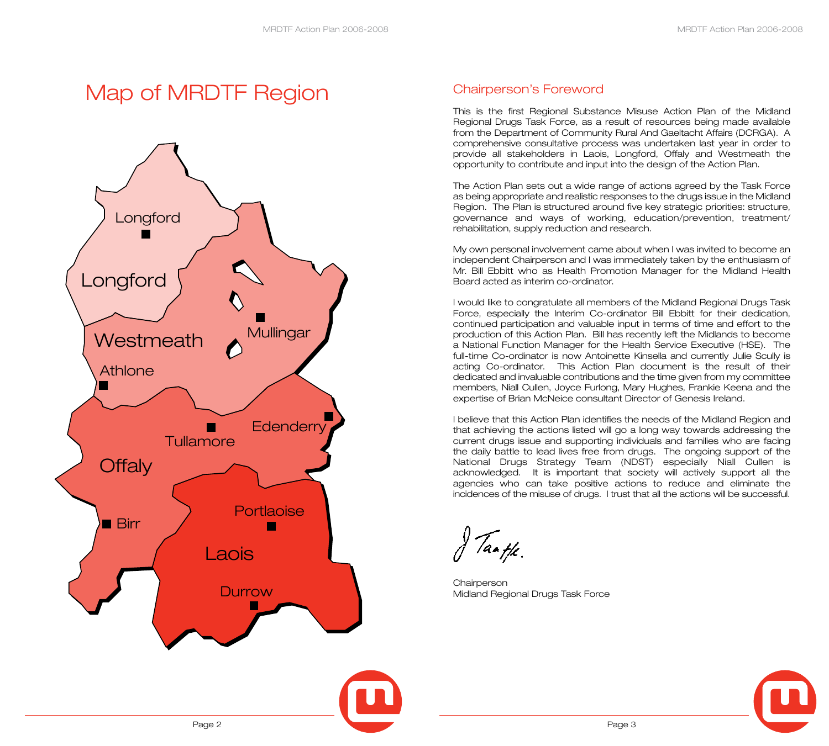## Map of MRDTF Region



## Chairperson's Foreword

This is the first Regional Substance Misuse Action Plan of the Midland Regional Drugs Task Force, as a result of resources being made available from the Department of Community Rural And Gaeltacht Affairs (DCRGA). A comprehensive consultative process was undertaken last year in order to provide all stakeholders in Laois, Longford, Offaly and Westmeath the opportunity to contribute and input into the design of the Action Plan.

The Action Plan sets out a wide range of actions agreed by the Task Force as being appropriate and realistic responses to the drugs issue in the Midland Region. The Plan is structured around five key strategic priorities: structure, governance and ways of working, education/prevention, treatment/ rehabilitation, supply reduction and research.

My own personal involvement came about when I was invited to become an independent Chairperson and I was immediately taken by the enthusiasm of Mr. Bill Ebbitt who as Health Promotion Manager for the Midland Health Board acted as interim co-ordinator.

I would like to congratulate all members of the Midland Regional Drugs Task Force, especially the Interim Co-ordinator Bill Ebbitt for their dedication, continued participation and valuable input in terms of time and effort to the production of this Action Plan. Bill has recently left the Midlands to become a National Function Manager for the Health Service Executive (HSE). The full-time Co-ordinator is now Antoinette Kinsella and currently Julie Scully is acting Co-ordinator. This Action Plan document is the result of their dedicated and invaluable contributions and the time given from my committee members, Niall Cullen, Joyce Furlong, Mary Hughes, Frankie Keena and the expertise of Brian McNeice consultant Director of Genesis Ireland.

I believe that this Action Plan identifies the needs of the Midland Region and that achieving the actions listed will go a long way towards addressing the current drugs issue and supporting individuals and families who are facing the daily battle to lead lives free from drugs. The ongoing support of the National Drugs Strategy Team (NDST) especially Niall Cullen is acknowledged. It is important that society will actively support all the agencies who can take positive actions to reduce and eliminate the incidences of the misuse of drugs. I trust that all the actions will be successful.

Taath.

**Chairperson** Midland Regional Drugs Task Force

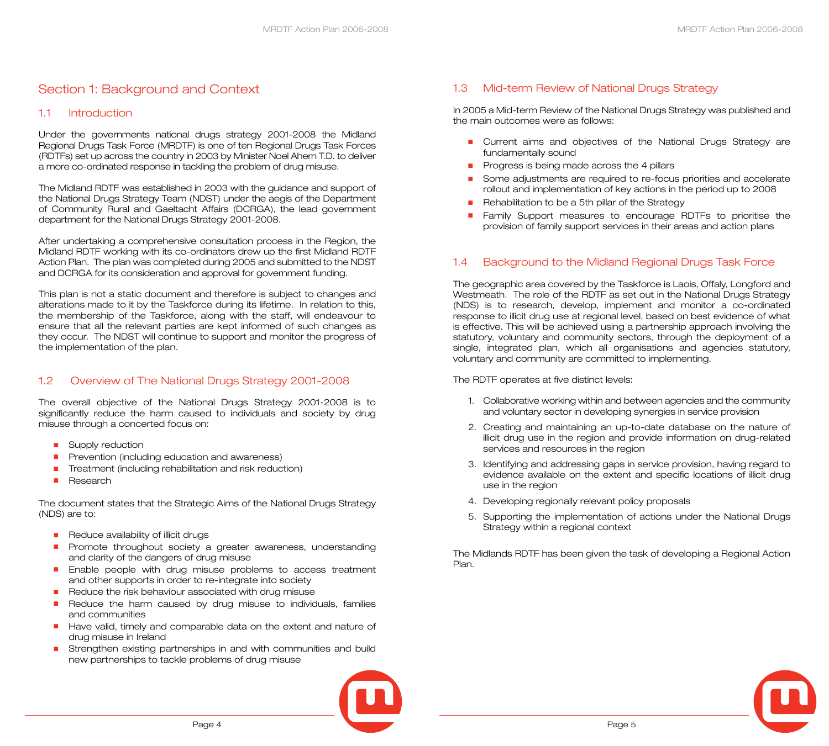## Section 1: Background and Context

#### 1.1 Introduction

Under the governments national drugs strategy 2001-2008 the Midland Regional Drugs Task Force (MRDTF) is one of ten Regional Drugs Task Forces (RDTFs) set up across the country in 2003 by Minister Noel Ahern T.D. to deliver a more co-ordinated response in tackling the problem of drug misuse.

The Midland RDTF was established in 2003 with the guidance and support of the National Drugs Strategy Team (NDST) under the aegis of the Department of Community Rural and Gaeltacht Affairs (DCRGA), the lead government department for the National Drugs Strategy 2001-2008.

After undertaking a comprehensive consultation process in the Region, the Midland RDTF working with its co-ordinators drew up the first Midland RDTF Action Plan. The plan was completed during 2005 and submitted to the NDST and DCRGA for its consideration and approval for government funding.

This plan is not a static document and therefore is subject to changes and alterations made to it by the Taskforce during its lifetime. In relation to this, the membership of the Taskforce, along with the staff, will endeavour to ensure that all the relevant parties are kept informed of such changes as they occur. The NDST will continue to support and monitor the progress of the implementation of the plan.

### 1.2 Overview of The National Drugs Strategy 2001-2008

The overall objective of the National Drugs Strategy 2001-2008 is to significantly reduce the harm caused to individuals and society by drug misuse through a concerted focus on:

- Supply reduction
- Prevention (including education and awareness)
- Treatment (including rehabilitation and risk reduction)
- Research

The document states that the Strategic Aims of the National Drugs Strategy (NDS) are to:

- Reduce availability of illicit drugs
- Promote throughout society a greater awareness, understanding and clarity of the dangers of drug misuse
- Enable people with drug misuse problems to access treatment and other supports in order to re-integrate into society
- Reduce the risk behaviour associated with drug misuse
- Reduce the harm caused by drug misuse to individuals, families and communities
- Have valid, timely and comparable data on the extent and nature of drug misuse in Ireland
- Strengthen existing partnerships in and with communities and build new partnerships to tackle problems of drug misuse

#### In 2005 a Mid-term Review of the National Drugs Strategy was published and the main outcomes were as follows:

- Current aims and objectives of the National Drugs Strategy are fundamentally sound
- Progress is being made across the 4 pillars

1.3 Mid-term Review of National Drugs Strategy

- Some adjustments are required to re-focus priorities and accelerate rollout and implementation of key actions in the period up to 2008
- Rehabilitation to be a 5th pillar of the Strategy
- Family Support measures to encourage RDTFs to prioritise the provision of family support services in their areas and action plans

#### 1.4 Background to the Midland Regional Drugs Task Force

The geographic area covered by the Taskforce is Laois, Offaly, Longford and Westmeath. The role of the RDTF as set out in the National Drugs Strategy (NDS) is to research, develop, implement and monitor a co-ordinated response to illicit drug use at regional level, based on best evidence of what is effective. This will be achieved using a partnership approach involving the statutory, voluntary and community sectors, through the deployment of a single, integrated plan, which all organisations and agencies statutory, voluntary and community are committed to implementing.

#### The RDTF operates at five distinct levels:

- 1. Collaborative working within and between agencies and the community and voluntary sector in developing synergies in service provision
- 2. Creating and maintaining an up-to-date database on the nature of illicit drug use in the region and provide information on drug-related services and resources in the region
- 3. Identifying and addressing gaps in service provision, having regard to evidence available on the extent and specific locations of illicit drug use in the region
- 4. Developing regionally relevant policy proposals
- 5. Supporting the implementation of actions under the National Drugs Strategy within a regional context

The Midlands RDTF has been given the task of developing a Regional Action Plan.

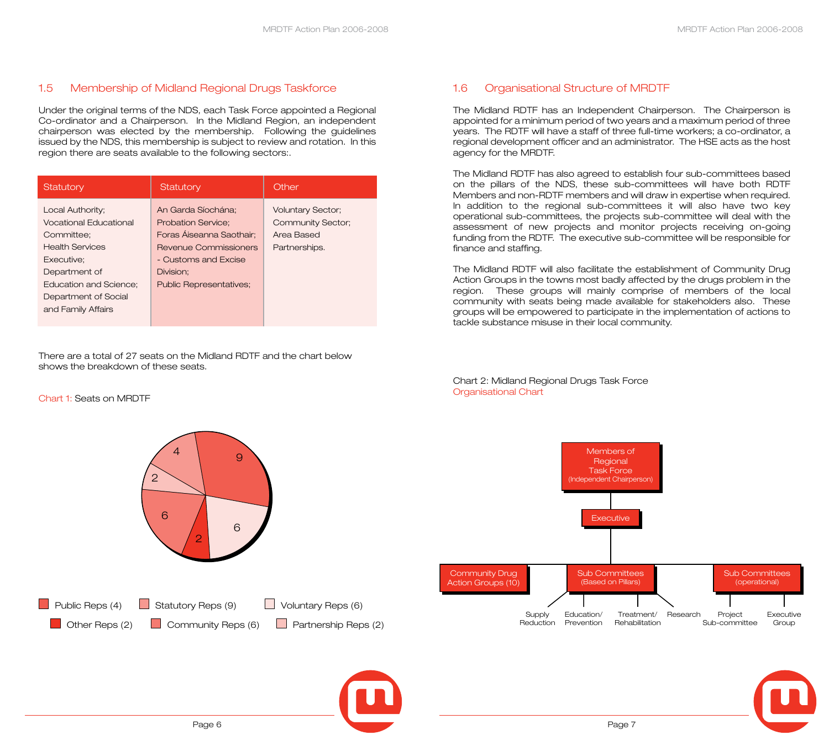#### 1.5 Membership of Midland Regional Drugs Taskforce

Under the original terms of the NDS, each Task Force appointed a Regional Co-ordinator and a Chairperson. In the Midland Region, an independent chairperson was elected by the membership. Following the guidelines issued by the NDS, this membership is subject to review and rotation. In this region there are seats available to the following sectors:.

| Statutory                                                                                                                                                                                        | Statutory                                                                                                                                                                   | Other                                                                        |  |  |
|--------------------------------------------------------------------------------------------------------------------------------------------------------------------------------------------------|-----------------------------------------------------------------------------------------------------------------------------------------------------------------------------|------------------------------------------------------------------------------|--|--|
| Local Authority;<br><b>Vocational Educational</b><br>Committee:<br><b>Health Services</b><br>Executive:<br>Department of<br>Education and Science:<br>Department of Social<br>and Family Affairs | An Garda Síochána:<br><b>Probation Service:</b><br>Foras Áiseanna Saothair:<br>Revenue Commissioners<br>- Customs and Excise<br>Division:<br><b>Public Representatives;</b> | <b>Voluntary Sector;</b><br>Community Sector;<br>Area Based<br>Partnerships. |  |  |

There are a total of 27 seats on the Midland RDTF and the chart below shows the breakdown of these seats.

#### Chart 1: Seats on MRDTF



#### appointed for a minimum period of two years and a maximum period of three years. The RDTF will have a staff of three full-time workers; a co-ordinator, a regional development officer and an administrator. The HSE acts as the host

agency for the MRDTF.

1.6 Organisational Structure of MRDTF

The Midland RDTF has also agreed to establish four sub-committees based on the pillars of the NDS, these sub-committees will have both RDTF Members and non-RDTF members and will draw in expertise when required. In addition to the regional sub-committees it will also have two key operational sub-committees, the projects sub-committee will deal with the assessment of new projects and monitor projects receiving on-going funding from the RDTF. The executive sub-committee will be responsible for finance and staffing.

The Midland RDTF has an Independent Chairperson. The Chairperson is

The Midland RDTF will also facilitate the establishment of Community Drug Action Groups in the towns most badly affected by the drugs problem in the region. These groups will mainly comprise of members of the local community with seats being made available for stakeholders also. These groups will be empowered to participate in the implementation of actions to tackle substance misuse in their local community.

Chart 2: Midland Regional Drugs Task Force Organisational Chart



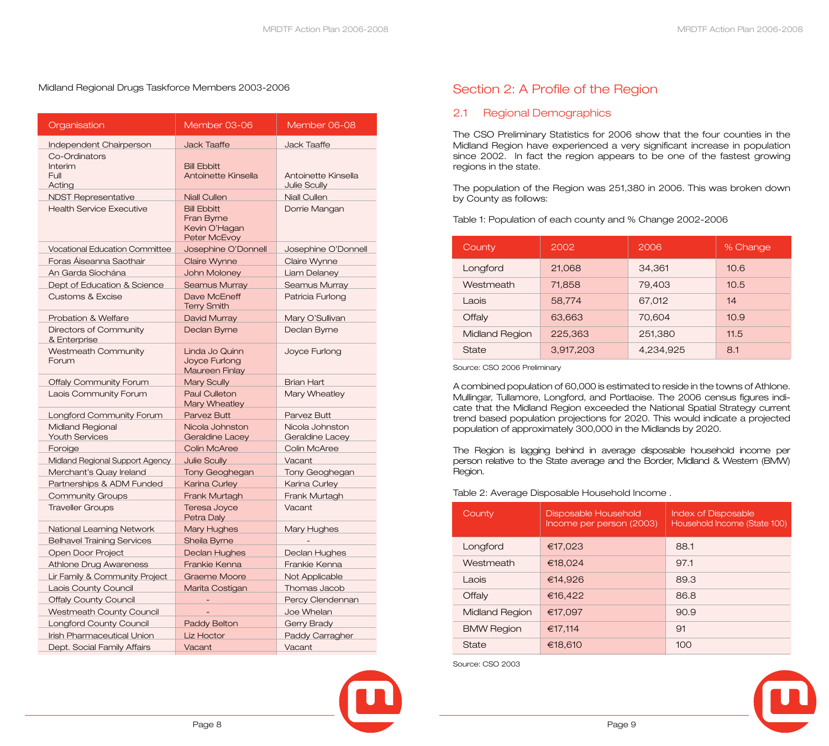#### Midland Regional Drugs Taskforce Members 2003-2006

| Organisation                               | Member 03-06                                                      | Member 06-08                              |
|--------------------------------------------|-------------------------------------------------------------------|-------------------------------------------|
| Independent Chairperson                    | <b>Jack Taaffe</b>                                                | <b>Jack Taaffe</b>                        |
| Co-Ordinators<br>Interim<br>Full<br>Acting | <b>Bill Ebbitt</b><br>Antoinette Kinsella                         | Antoinette Kinsella<br>Julie Scully       |
| <b>NDST Representative</b>                 | <b>Niall Cullen</b>                                               | <b>Niall Cullen</b>                       |
| <b>Health Service Executive</b>            | <b>Bill Ebbitt</b><br>Fran Byrne<br>Kevin O'Hagan<br>Peter McEvoy | Dorrie Mangan                             |
| <b>Vocational Education Committee</b>      | Josephine O'Donnell                                               | Josephine O'Donnell                       |
| Foras Áiseanna Saothair                    | <b>Claire Wynne</b>                                               | Claire Wynne                              |
| An Garda Síochána                          | John Moloney                                                      | <b>Liam Delaney</b>                       |
| Dept of Education & Science                | <b>Seamus Murray</b>                                              | Seamus Murray                             |
| <b>Customs &amp; Excise</b>                | Dave McEneff<br><b>Terry Smith</b>                                | Patricia Furlong                          |
| Probation & Welfare                        | David Murray                                                      | Mary O'Sullivan                           |
| Directors of Community<br>& Enterprise     | Declan Byrne                                                      | Declan Byrne                              |
| <b>Westmeath Community</b><br>Forum        | Linda Jo Quinn<br>Joyce Furlong<br><b>Maureen Finlay</b>          | Joyce Furlong                             |
| <b>Offaly Community Forum</b>              | <b>Mary Scully</b>                                                | <b>Brian Hart</b>                         |
| Laois Community Forum                      | <b>Paul Culleton</b><br><b>Mary Wheatley</b>                      | Mary Wheatley                             |
| Longford Community Forum                   | Parvez Butt                                                       | Parvez Butt                               |
| Midland Regional<br><b>Youth Services</b>  | Nicola Johnston<br><b>Geraldine Lacey</b>                         | Nicola Johnston<br><b>Geraldine Lacey</b> |
| Foroige                                    | <b>Colin McAree</b>                                               | Colin McAree                              |
| Midland Regional Support Agency            | <b>Julie Scully</b>                                               | Vacant                                    |
| Merchant's Quay Ireland                    | <b>Tony Geoghegan</b>                                             | <b>Tony Geoghegan</b>                     |
| Partnerships & ADM Funded                  | <b>Karina Curley</b>                                              | Karina Curley                             |
| <b>Community Groups</b>                    | Frank Murtagh                                                     | Frank Murtagh                             |
| <b>Traveller Groups</b>                    | Teresa Joyce<br>Petra Daly                                        | Vacant                                    |
| National Learning Network                  | <b>Mary Hughes</b>                                                | Mary Hughes                               |
| <b>Belhavel Training Services</b>          | Sheila Byrne                                                      |                                           |
| Open Door Project                          | <b>Declan Hughes</b>                                              | <b>Declan Hughes</b>                      |
| <b>Athlone Drug Awareness</b>              | Frankie Kenna                                                     | Frankie Kenna                             |
| Lir Family & Community Project             | <b>Graeme Moore</b>                                               | Not Applicable                            |
| Laois County Council                       | Marita Costigan                                                   | Thomas Jacob                              |
| <b>Offaly County Council</b>               |                                                                   | Percy Clendennan                          |
| <b>Westmeath County Council</b>            |                                                                   | Joe Whelan                                |
| <b>Longford County Council</b>             | <b>Paddy Belton</b>                                               | <b>Gerry Brady</b>                        |
| Irish Pharmaceutical Union                 | Liz Hoctor                                                        | <b>Paddy Carragher</b>                    |
| Dept. Social Family Affairs                | Vacant                                                            | Vacant                                    |

## Section 2: A Profile of the Region

#### 2.1 Regional Demographics

The CSO Preliminary Statistics for 2006 show that the four counties in the Midland Region have experienced a very significant increase in population since 2002. In fact the region appears to be one of the fastest growing regions in the state.

The population of the Region was 251,380 in 2006. This was broken down by County as follows:

Table 1: Population of each county and % Change 2002-2006

| County         | 2002<br>2006     |           | % Change |  |
|----------------|------------------|-----------|----------|--|
| Longford       | 21,068           | 34,361    | 10.6     |  |
| Westmeath      | 71,858<br>79,403 |           | 10.5     |  |
| Laois          | 58,774           | 67,012    | 14       |  |
| Offaly         | 63,663           | 70,604    | 10.9     |  |
| Midland Region | 225,363          | 251,380   | 11.5     |  |
| <b>State</b>   | 3,917,203        | 4,234,925 | 8.1      |  |

Source: CSO 2006 Preliminary

A combined population of 60,000 is estimated to reside in the towns of Athlone. Mullingar, Tullamore, Longford, and Portlaoise. The 2006 census figures indicate that the Midland Region exceeded the National Spatial Strategy current trend based population projections for 2020. This would indicate a projected population of approximately 300,000 in the Midlands by 2020.

The Region is lagging behind in average disposable household income per person relative to the State average and the Border, Midland & Western (BMW) Region.

#### Table 2: Average Disposable Household Income .

| County            | Disposable Household<br>Income per person (2003) | <b>Index of Disposable</b><br>Household Income (State 100) |
|-------------------|--------------------------------------------------|------------------------------------------------------------|
| Longford          | €17,023                                          | 88.1                                                       |
| Westmeath         | €18.024                                          | 97.1                                                       |
| Laois             | €14,926                                          | 89.3                                                       |
| Offaly            | €16,422                                          | 86.8                                                       |
| Midland Region    | €17,097                                          | 90.9                                                       |
| <b>BMW Region</b> | €17,114                                          | 91                                                         |
| State             | €18,610                                          | 100                                                        |

Source: CSO 2003

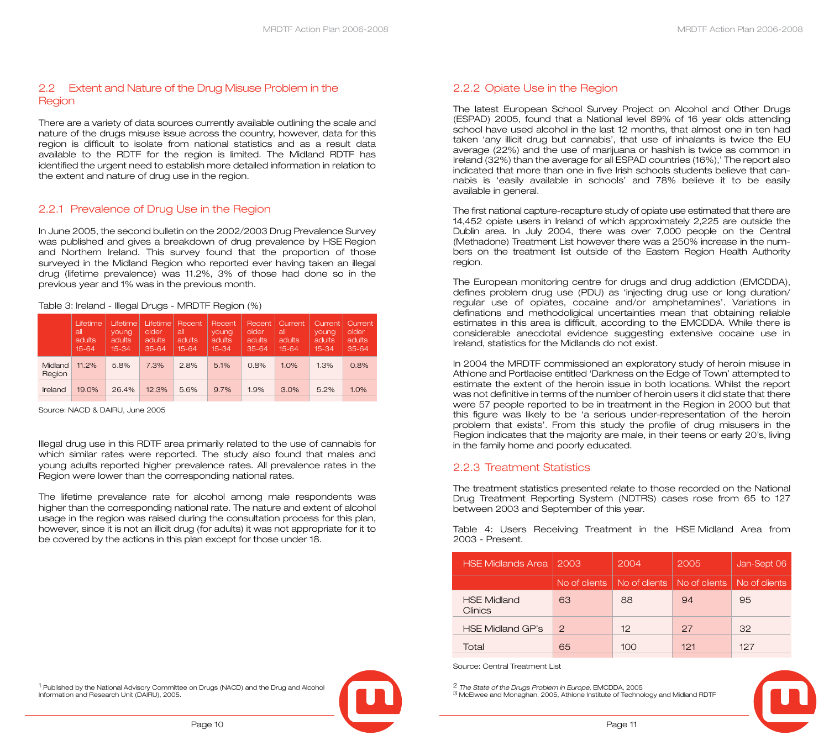#### 2.2 Extent and Nature of the Drug Misuse Problem in the **Region**

There are a variety of data sources currently available outlining the scale and nature of the drugs misuse issue across the country, however, data for this region is difficult to isolate from national statistics and as a result data available to the RDTF for the region is limited. The Midland RDTF has identified the urgent need to establish more detailed information in relation to the extent and nature of drug use in the region.

#### 2.2.1 Prevalence of Drug Use in the Region

In June 2005, the second bulletin on the 2002/2003 Drug Prevalence Survey was published and gives a breakdown of drug prevalence by HSE Region and Northern Ireland. This survey found that the proportion of those surveyed in the Midland Region who reported ever having taken an illegal drug (lifetime prevalence) was 11.2%, 3% of those had done so in the previous year and 1% was in the previous month.

|  | Table 3: Ireland - Illegal Drugs - MRDTF Region (%) |
|--|-----------------------------------------------------|
|  |                                                     |

|                   | Lifetime<br>all<br><b>adults</b><br>$15 - 64$ | Lifetime<br>young<br>adults<br>15-34 | Lifetime<br>older<br>adults<br>$35 - 64$ | Recent<br>all<br>adults<br>$15 - 64$ | Recent<br>young<br>adults<br>$15 - 34$ | Recent<br>older<br>adults<br>$35 - 64$ | 'Current<br>all<br>adults<br>$15 - 64$ | Current<br>vouna<br>adults<br>$15 - 34$ | Current.<br>older<br>adults<br>$35 - 64$ |
|-------------------|-----------------------------------------------|--------------------------------------|------------------------------------------|--------------------------------------|----------------------------------------|----------------------------------------|----------------------------------------|-----------------------------------------|------------------------------------------|
| Midland<br>Region | 11.2%                                         | 5.8%                                 | 7.3%                                     | 2.8%                                 | 5.1%                                   | 0.8%                                   | 1.0%                                   | 1.3%                                    | 0.8%                                     |
| Ireland           | 19.0%                                         | 26.4%                                | 12.3%                                    | 5.6%                                 | 9.7%                                   | 1.9%                                   | 3.0%                                   | 5.2%                                    | $1.0\%$                                  |

Source: NACD & DAIRU, June 2005

Illegal drug use in this RDTF area primarily related to the use of cannabis for which similar rates were reported. The study also found that males and young adults reported higher prevalence rates. All prevalence rates in the Region were lower than the corresponding national rates.

The lifetime prevalance rate for alcohol among male respondents was higher than the corresponding national rate. The nature and extent of alcohol usage in the region was raised during the consultation process for this plan, however, since it is not an illicit drug (for adults) it was not appropriate for it to be covered by the actions in this plan except for those under 18.

1 Published by the National Advisory Committee on Drugs (NACD) and the Drug and Alcohol Information and Research Unit (DAIRU), 2005.



#### 2.2.2 Opiate Use in the Region

The latest European School Survey Project on Alcohol and Other Drugs (ESPAD) 2005, found that a National level 89% of 16 year olds attending school have used alcohol in the last 12 months, that almost one in ten had taken 'any illicit drug but cannabis', that use of inhalants is twice the EU average (22%) and the use of marijuana or hashish is twice as common in Ireland (32%) than the average for all ESPAD countries (16%),' The report also indicated that more than one in five Irish schools students believe that cannabis is 'easily available in schools' and 78% believe it to be easily available in general.

The first national capture-recapture study of opiate use estimated that there are 14,452 opiate users in Ireland of which approximately 2,225 are outside the Dublin area. In July 2004, there was over 7,000 people on the Central (Methadone) Treatment List however there was a 250% increase in the numbers on the treatment list outside of the Eastern Region Health Authority region.

The European monitoring centre for drugs and drug addiction (EMCDDA), defines problem drug use (PDU) as 'injecting drug use or long duration/ regular use of opiates, cocaine and/or amphetamines'. Variations in definations and methodoligical uncertainties mean that obtaining reliable estimates in this area is difficult, according to the EMCDDA. While there is considerable anecdotal evidence suggesting extensive cocaine use in Ireland, statistics for the Midlands do not exist.

In 2004 the MRDTF commissioned an exploratory study of heroin misuse in Athlone and Portlaoise entitled 'Darkness on the Edge of Town' attempted to estimate the extent of the heroin issue in both locations. Whilst the report was not definitive in terms of the number of heroin users it did state that there were 57 people reported to be in treatment in the Region in 2000 but that this figure was likely to be 'a serious under-representation of the heroin problem that exists'. From this study the profile of drug misusers in the Region indicates that the majority are male, in their teens or early 20's, living in the family home and poorly educated.

#### 2.2.3 Treatment Statistics

The treatment statistics presented relate to those recorded on the National Drug Treatment Reporting System (NDTRS) cases rose from 65 to 127 between 2003 and September of this year.

Table 4: Users Receiving Treatment in the HSE Midland Area from 2003 - Present.

| <b>HSE Midlands Area</b>             | 2003          | 2004          | 2005          | Jan-Sept 06   |  |
|--------------------------------------|---------------|---------------|---------------|---------------|--|
|                                      | No of clients | No of clients | No of clients | No of clients |  |
| <b>HSE Midland</b><br><b>Clinics</b> | 63            | 88            | 94            | 95            |  |
| <b>HSE Midland GP's</b>              | $\mathcal{P}$ | 12            | 27            | 32            |  |
| Total                                | 65            | 1OO           | 121           | 127           |  |

Source: Central Treatment List

2 *The State of the Drugs Problem in Europe,* EMCDDA, 2005 3 McElwee and Monaghan, 2005, Athlone Institute of Technology and Midland RDTF

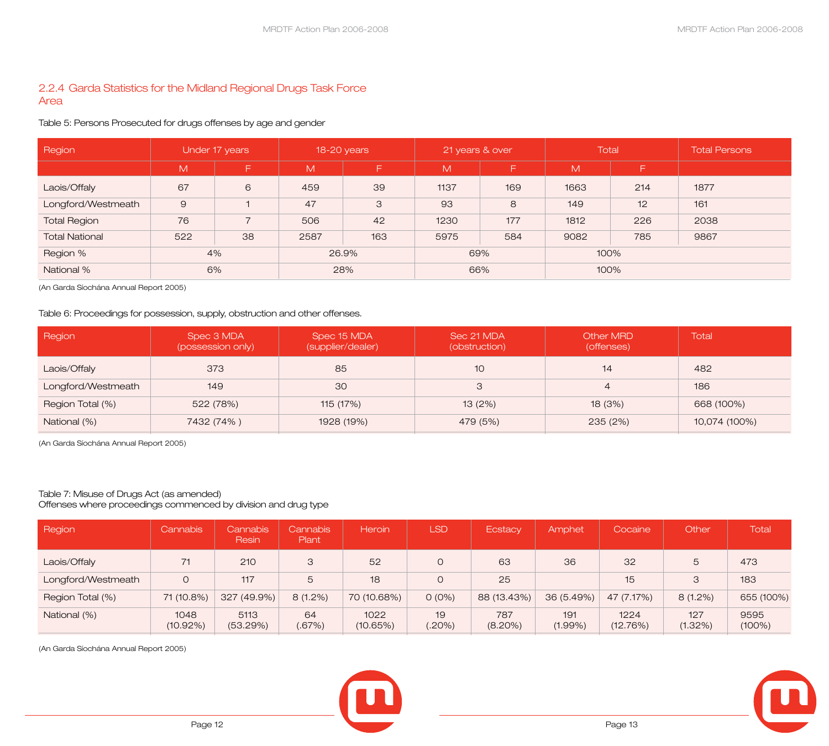#### 2.2.4 Garda Statistics for the Midland Regional Drugs Task Force Area

#### Table 5: Persons Prosecuted for drugs offenses by age and gender

| Region                | Under 17 years |    | 18-20 years |     | 21 years & over |     | <b>Total</b> |     | <b>Total Persons</b> |
|-----------------------|----------------|----|-------------|-----|-----------------|-----|--------------|-----|----------------------|
|                       | M              | Ξ  | M           | F.  | M               | F   | M            | F.  |                      |
| Laois/Offaly          | 67             | 6  | 459         | 39  | 1137            | 169 | 1663         | 214 | 1877                 |
| Longford/Westmeath    | $\Theta$       |    | 47          | 3   | 93              | 8   | 149          | 12  | 161                  |
| <b>Total Region</b>   | 76             |    | 506         | 42  | 1230            | 177 | 1812         | 226 | 2038                 |
| <b>Total National</b> | 522            | 38 | 2587        | 163 | 5975            | 584 | 9082         | 785 | 9867                 |
| Region %              | 4%             |    | 26.9%       |     | 69%             |     | 100%         |     |                      |
| National %            | 6%             |    |             | 28% | 66%             |     | 100%         |     |                      |

(An Garda Síochána Annual Report 2005)

#### Table 6: Proceedings for possession, supply, obstruction and other offenses.

| Region             | Spec 3 MDA<br>(possession only) | Spec 15 MDA<br>(supplier/dealer) | Sec 21 MDA<br>(obstruction) | <b>Other MRD</b><br>(offenses) | Total         |
|--------------------|---------------------------------|----------------------------------|-----------------------------|--------------------------------|---------------|
| Laois/Offaly       | 373                             | 85                               | 10                          | 14                             | 482           |
| Longford/Westmeath | 149                             | 30                               | 3                           | $\overline{4}$                 | 186           |
| Region Total (%)   | 522 (78%)                       | 115 (17%)                        | 13(2%)                      | 18(3%)                         | 668 (100%)    |
| National (%)       | 7432 (74%)                      | 1928 (19%)                       | 479 (5%)                    | 235 (2%)                       | 10,074 (100%) |

(An Garda Síochána Annual Report 2005)

#### Table 7: Misuse of Drugs Act (as amended)

Offenses where proceedings commenced by division and drug type

| Region             | <b>Cannabis</b>  | <b>Cannabis</b><br>Resin | Cannabis<br>Plant | Heroin           | <b>LSD</b>   | Ecstacy           | Amphet            | Cocaine          | Other          | <b>Total</b>      |
|--------------------|------------------|--------------------------|-------------------|------------------|--------------|-------------------|-------------------|------------------|----------------|-------------------|
| Laois/Offaly       | 71               | 210                      | 3                 | 52               | $\Omega$     | 63                | 36                | 32               | 5              | 473               |
| Longford/Westmeath | $\circ$          | 117                      | 5                 | 18               | $\Omega$     | 25                |                   | 15               | $\mathcal{S}$  | 183               |
| Region Total (%)   | 71 (10.8%)       | 327 (49.9%)              | $8(1.2\%)$        | 70 (10.68%)      | $O(0\%)$     | 88 (13.43%)       | 36 (5.49%)        | 47 (7.17%)       | $8(1.2\%)$     | 655 (100%)        |
| National (%)       | 1048<br>(10.92%) | 5113<br>(53.29%)         | 64<br>(.67%)      | 1022<br>(10.65%) | 19<br>(.20%) | 787<br>$(8.20\%)$ | 191<br>$(1.99\%)$ | 1224<br>(12.76%) | 127<br>(1.32%) | 9595<br>$(100\%)$ |

(An Garda Síochána Annual Report 2005)



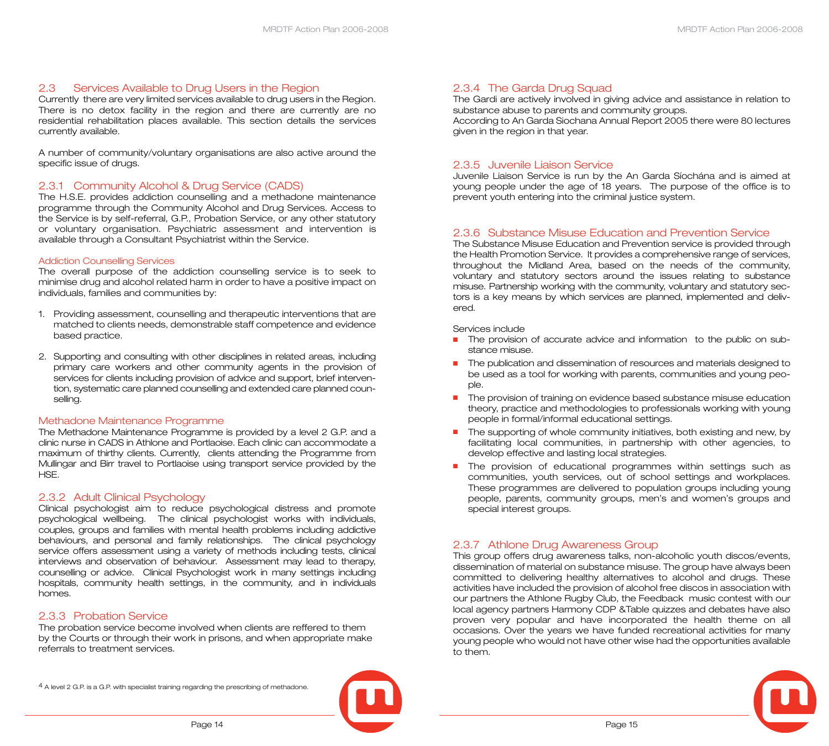#### 2.3 Services Available to Drug Users in the Region

Currently there are very limited services available to drug users in the Region. There is no detox facility in the region and there are currently are no residential rehabilitation places available. This section details the services currently available.

A number of community/voluntary organisations are also active around the specific issue of drugs.

#### 2.3.1 Community Alcohol & Drug Service (CADS)

The H.S.E. provides addiction counselling and a methadone maintenance programme through the Community Alcohol and Drug Services. Access to the Service is by self-referral, G.P., Probation Service, or any other statutory or voluntary organisation. Psychiatric assessment and intervention is available through a Consultant Psychiatrist within the Service.

#### Addiction Counselling Services

The overall purpose of the addiction counselling service is to seek to minimise drug and alcohol related harm in order to have a positive impact on individuals, families and communities by:

- 1. Providing assessment, counselling and therapeutic interventions that are matched to clients needs, demonstrable staff competence and evidence based practice.
- 2. Supporting and consulting with other disciplines in related areas, including primary care workers and other community agents in the provision of services for clients including provision of advice and support, brief intervention, systematic care planned counselling and extended care planned counselling.

#### Methadone Maintenance Programme

The Methadone Maintenance Programme is provided by a level 2 G.P. and a clinic nurse in CADS in Athlone and Portlaoise. Each clinic can accommodate a maximum of thirthy clients. Currently, clients attending the Programme from Mullingar and Birr travel to Portlaoise using transport service provided by the HSE.

#### 2.3.2 Adult Clinical Psychology

Clinical psychologist aim to reduce psychological distress and promote psychological wellbeing. The clinical psychologist works with individuals, couples, groups and families with mental health problems including addictive behaviours, and personal and family relationships. The clinical psychology service offers assessment using a variety of methods including tests, clinical interviews and observation of behaviour. Assessment may lead to therapy, counselling or advice. Clinical Psychologist work in many settings including hospitals, community health settings, in the community, and in individuals homes.

#### 2.3.3 Probation Service

The probation service become involved when clients are reffered to them by the Courts or through their work in prisons, and when appropriate make referrals to treatment services.

4 A level 2 G.P. is a G.P. with specialist training regarding the prescribing of methadone.



#### 2.3.4 The Garda Drug Squad

The Gardi are actively involved in giving advice and assistance in relation to substance abuse to parents and community groups.

According to An Garda Siochana Annual Report 2005 there were 80 lectures given in the region in that year.

#### 2.3.5 Juvenile Liaison Service

Juvenile Liaison Service is run by the An Garda Síochána and is aimed at young people under the age of 18 years. The purpose of the office is to prevent youth entering into the criminal justice system.

#### 2.3.6 Substance Misuse Education and Prevention Service

The Substance Misuse Education and Prevention service is provided through the Health Promotion Service. It provides a comprehensive range of services, throughout the Midland Area, based on the needs of the community, voluntary and statutory sectors around the issues relating to substance misuse. Partnership working with the community, voluntary and statutory sectors is a key means by which services are planned, implemented and delivered.

#### Services include

- The provision of accurate advice and information to the public on substance misuse.
- The publication and dissemination of resources and materials designed to be used as a tool for working with parents, communities and young people.
- The provision of training on evidence based substance misuse education theory, practice and methodologies to professionals working with young people in formal/informal educational settings.
- The supporting of whole community initiatives, both existing and new, by facilitating local communities, in partnership with other agencies, to develop effective and lasting local strategies.
- The provision of educational programmes within settings such as communities, youth services, out of school settings and workplaces. These programmes are delivered to population groups including young people, parents, community groups, men's and women's groups and special interest groups.

#### 2.3.7 Athlone Drug Awareness Group

This group offers drug awareness talks, non-alcoholic youth discos/events, dissemination of material on substance misuse. The group have always been committed to delivering healthy alternatives to alcohol and drugs. These activities have included the provision of alcohol free discos in association with our partners the Athlone Rugby Club, the Feedback music contest with our local agency partners Harmony CDP &Table quizzes and debates have also proven very popular and have incorporated the health theme on all occasions. Over the years we have funded recreational activities for many young people who would not have other wise had the opportunities available to them.

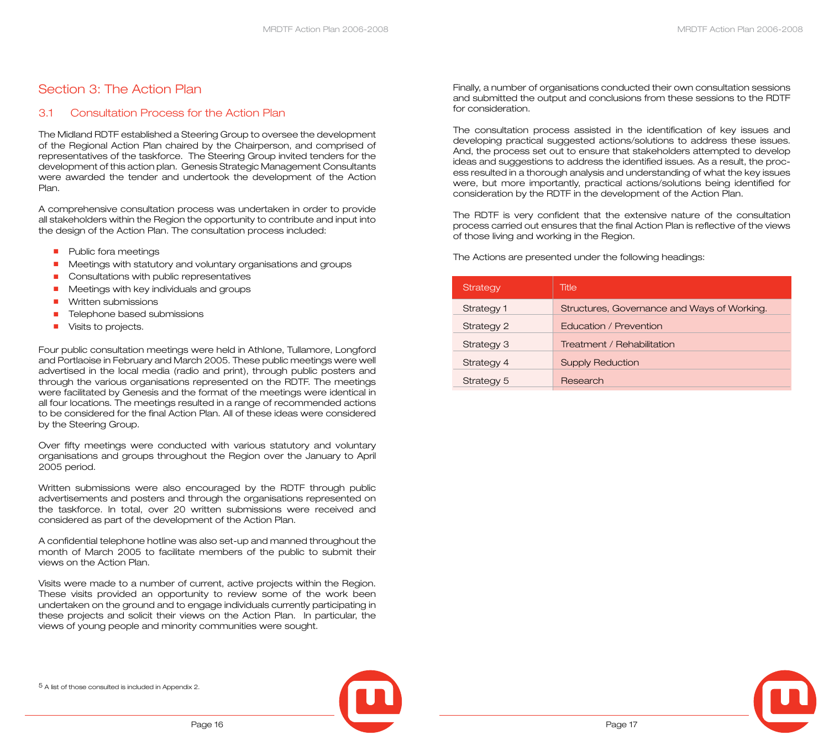## Section 3: The Action Plan

#### 3.1 Consultation Process for the Action Plan

The Midland RDTF established a Steering Group to oversee the development of the Regional Action Plan chaired by the Chairperson, and comprised of representatives of the taskforce. The Steering Group invited tenders for the development of this action plan. Genesis Strategic Management Consultants were awarded the tender and undertook the development of the Action Plan.

A comprehensive consultation process was undertaken in order to provide all stakeholders within the Region the opportunity to contribute and input into the design of the Action Plan. The consultation process included:

- Public fora meetings
- Meetings with statutory and voluntary organisations and groups
- Consultations with public representatives
- Meetings with key individuals and groups
- Written submissions
- Telephone based submissions
- Visits to projects.

Four public consultation meetings were held in Athlone, Tullamore, Longford and Portlaoise in February and March 2005. These public meetings were well advertised in the local media (radio and print), through public posters and through the various organisations represented on the RDTF. The meetings were facilitated by Genesis and the format of the meetings were identical in all four locations. The meetings resulted in a range of recommended actions to be considered for the final Action Plan. All of these ideas were considered by the Steering Group.

Over fifty meetings were conducted with various statutory and voluntary organisations and groups throughout the Region over the January to April 2005 period.

Written submissions were also encouraged by the RDTF through public advertisements and posters and through the organisations represented on the taskforce. In total, over 20 written submissions were received and considered as part of the development of the Action Plan.

A confidential telephone hotline was also set-up and manned throughout the month of March 2005 to facilitate members of the public to submit their views on the Action Plan.

Visits were made to a number of current, active projects within the Region. These visits provided an opportunity to review some of the work been undertaken on the ground and to engage individuals currently participating in these projects and solicit their views on the Action Plan. In particular, the views of young people and minority communities were sought.

Finally, a number of organisations conducted their own consultation sessions and submitted the output and conclusions from these sessions to the RDTF for consideration.

The consultation process assisted in the identification of key issues and developing practical suggested actions/solutions to address these issues. And, the process set out to ensure that stakeholders attempted to develop ideas and suggestions to address the identified issues. As a result, the process resulted in a thorough analysis and understanding of what the key issues were, but more importantly, practical actions/solutions being identified for consideration by the RDTF in the development of the Action Plan.

The RDTF is very confident that the extensive nature of the consultation process carried out ensures that the final Action Plan is reflective of the views of those living and working in the Region.

The Actions are presented under the following headings:

| Strategy   | Title                                       |
|------------|---------------------------------------------|
| Strategy 1 | Structures, Governance and Ways of Working. |
| Strategy 2 | Education / Prevention                      |
| Strategy 3 | Treatment / Rehabilitation                  |
| Strategy 4 | <b>Supply Reduction</b>                     |
| Strategy 5 | Research                                    |

5 A list of those consulted is included in Appendix 2.



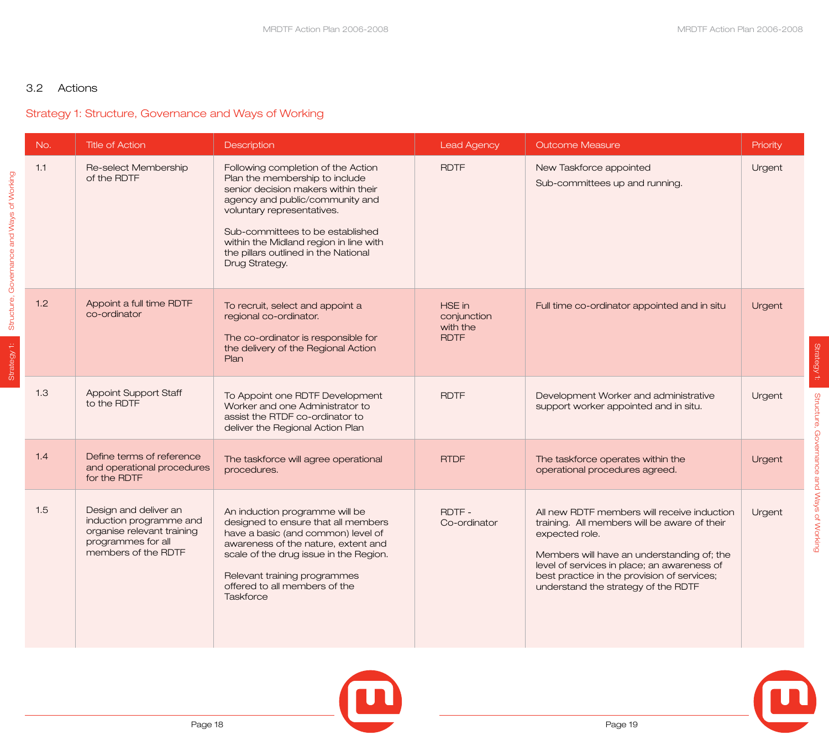#### 3.2 Actions

## Strategy 1: Structure, Governance and Ways of Working

|                                           | No. | <b>Title of Action</b>                                                                                                      | <b>Description</b>                                                                                                                                                                                                                                                                                                   | <b>Lead Agency</b>                               | <b>Outcome Measure</b>                                                                                                                                                                                                                                                                           | Priority |
|-------------------------------------------|-----|-----------------------------------------------------------------------------------------------------------------------------|----------------------------------------------------------------------------------------------------------------------------------------------------------------------------------------------------------------------------------------------------------------------------------------------------------------------|--------------------------------------------------|--------------------------------------------------------------------------------------------------------------------------------------------------------------------------------------------------------------------------------------------------------------------------------------------------|----------|
| Structure, Governance and Ways of Working | 1.1 | Re-select Membership<br>of the RDTF                                                                                         | Following completion of the Action<br>Plan the membership to include<br>senior decision makers within their<br>agency and public/community and<br>voluntary representatives.<br>Sub-committees to be established<br>within the Midland region in line with<br>the pillars outlined in the National<br>Drug Strategy. | <b>RDTF</b>                                      | New Taskforce appointed<br>Sub-committees up and running.                                                                                                                                                                                                                                        | Urgent   |
| Strategy 1:                               | 1.2 | Appoint a full time RDTF<br>co-ordinator                                                                                    | To recruit, select and appoint a<br>regional co-ordinator.<br>The co-ordinator is responsible for<br>the delivery of the Regional Action<br>Plan                                                                                                                                                                     | HSE in<br>conjunction<br>with the<br><b>RDTF</b> | Full time co-ordinator appointed and in situ                                                                                                                                                                                                                                                     | Urgent   |
|                                           | 1.3 | <b>Appoint Support Staff</b><br>to the RDTF                                                                                 | To Appoint one RDTF Development<br>Worker and one Administrator to<br>assist the RTDF co-ordinator to<br>deliver the Regional Action Plan                                                                                                                                                                            | <b>RDTF</b>                                      | Development Worker and administrative<br>support worker appointed and in situ.                                                                                                                                                                                                                   | Urgent   |
|                                           | 1.4 | Define terms of reference<br>and operational procedures<br>for the RDTF                                                     | The taskforce will agree operational<br>procedures.                                                                                                                                                                                                                                                                  | <b>RTDF</b>                                      | The taskforce operates within the<br>operational procedures agreed.                                                                                                                                                                                                                              | Urgent   |
|                                           | 1.5 | Design and deliver an<br>induction programme and<br>organise relevant training<br>programmes for all<br>members of the RDTF | An induction programme will be<br>designed to ensure that all members<br>have a basic (and common) level of<br>awareness of the nature, extent and<br>scale of the drug issue in the Region.<br>Relevant training programmes<br>offered to all members of the<br><b>Taskforce</b>                                    | RDTF-<br>Co-ordinator                            | All new RDTF members will receive induction<br>training. All members will be aware of their<br>expected role.<br>Members will have an understanding of; the<br>level of services in place; an awareness of<br>best practice in the provision of services;<br>understand the strategy of the RDTF | Urgent   |





Strategy 1:

Strategy 1:

Structure, Governance and Ways of Working

Structure, Governance and Ways of Working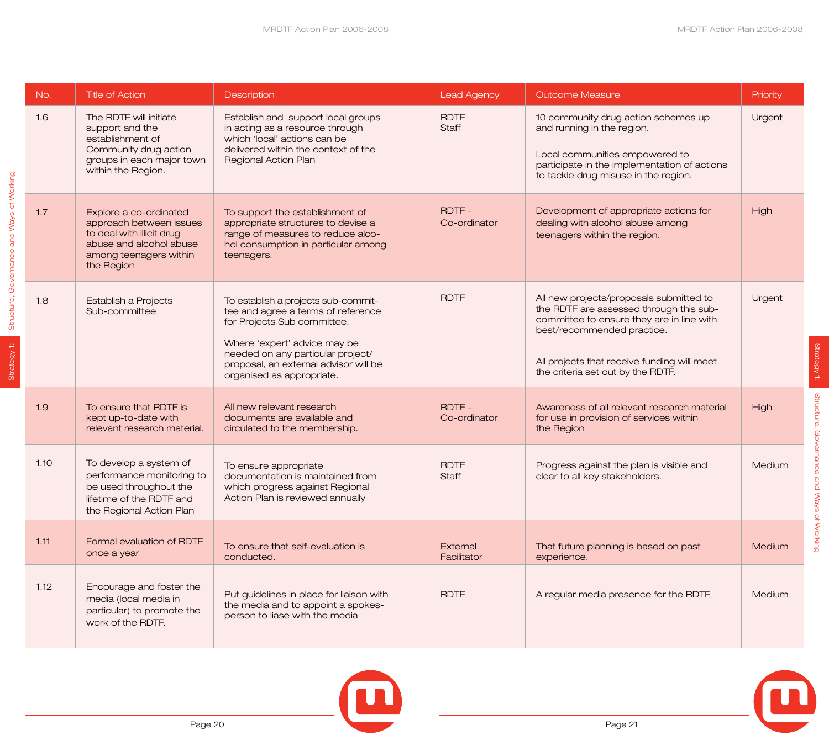| No.  | <b>Title of Action</b>                                                                                                                            | Description                                                                                                                                                                                                                                         | <b>Lead Agency</b>          | <b>Outcome Measure</b>                                                                                                                                                                                                                            | Priority |
|------|---------------------------------------------------------------------------------------------------------------------------------------------------|-----------------------------------------------------------------------------------------------------------------------------------------------------------------------------------------------------------------------------------------------------|-----------------------------|---------------------------------------------------------------------------------------------------------------------------------------------------------------------------------------------------------------------------------------------------|----------|
| 1.6  | The RDTF will initiate<br>support and the<br>establishment of<br>Community drug action<br>groups in each major town<br>within the Region.         | Establish and support local groups<br>in acting as a resource through<br>which 'local' actions can be<br>delivered within the context of the<br>Regional Action Plan                                                                                | <b>RDTF</b><br><b>Staff</b> | 10 community drug action schemes up<br>and running in the region.<br>Local communities empowered to<br>participate in the implementation of actions<br>to tackle drug misuse in the region.                                                       | Urgent   |
| 1.7  | Explore a co-ordinated<br>approach between issues<br>to deal with illicit drug<br>abuse and alcohol abuse<br>among teenagers within<br>the Region | To support the establishment of<br>appropriate structures to devise a<br>range of measures to reduce alco-<br>hol consumption in particular among<br>teenagers.                                                                                     | RDTF-<br>Co-ordinator       | Development of appropriate actions for<br>dealing with alcohol abuse among<br>teenagers within the region.                                                                                                                                        | High     |
| 1.8  | Establish a Projects<br>Sub-committee                                                                                                             | To establish a projects sub-commit-<br>tee and agree a terms of reference<br>for Projects Sub committee.<br>Where 'expert' advice may be<br>needed on any particular project/<br>proposal, an external advisor will be<br>organised as appropriate. | <b>RDTF</b>                 | All new projects/proposals submitted to<br>the RDTF are assessed through this sub-<br>committee to ensure they are in line with<br>best/recommended practice.<br>All projects that receive funding will meet<br>the criteria set out by the RDTF. | Urgent   |
| 1.9  | To ensure that RDTF is<br>kept up-to-date with<br>relevant research material.                                                                     | All new relevant research<br>documents are available and<br>circulated to the membership.                                                                                                                                                           | RDTF-<br>Co-ordinator       | Awareness of all relevant research material<br>for use in provision of services within<br>the Region                                                                                                                                              | High     |
| 1.10 | To develop a system of<br>performance monitoring to<br>be used throughout the<br>lifetime of the RDTF and<br>the Regional Action Plan             | To ensure appropriate<br>documentation is maintained from<br>which progress against Regional<br>Action Plan is reviewed annually                                                                                                                    | <b>RDTF</b><br><b>Staff</b> | Progress against the plan is visible and<br>clear to all key stakeholders.                                                                                                                                                                        | Medium   |
| 1.11 | Formal evaluation of RDTF<br>once a year                                                                                                          | To ensure that self-evaluation is<br>conducted.                                                                                                                                                                                                     | External<br>Facilitator     | That future planning is based on past<br>experience.                                                                                                                                                                                              | Medium   |
| 1.12 | Encourage and foster the<br>media (local media in<br>particular) to promote the<br>work of the RDTF.                                              | Put guidelines in place for liaison with<br>the media and to appoint a spokes-<br>person to liase with the media                                                                                                                                    | <b>RDTF</b>                 | A regular media presence for the RDTF                                                                                                                                                                                                             | Medium   |





Strategy 1: Structure, Governance and Ways of Working

Strategy 1:

Structure, Governance and Ways of Working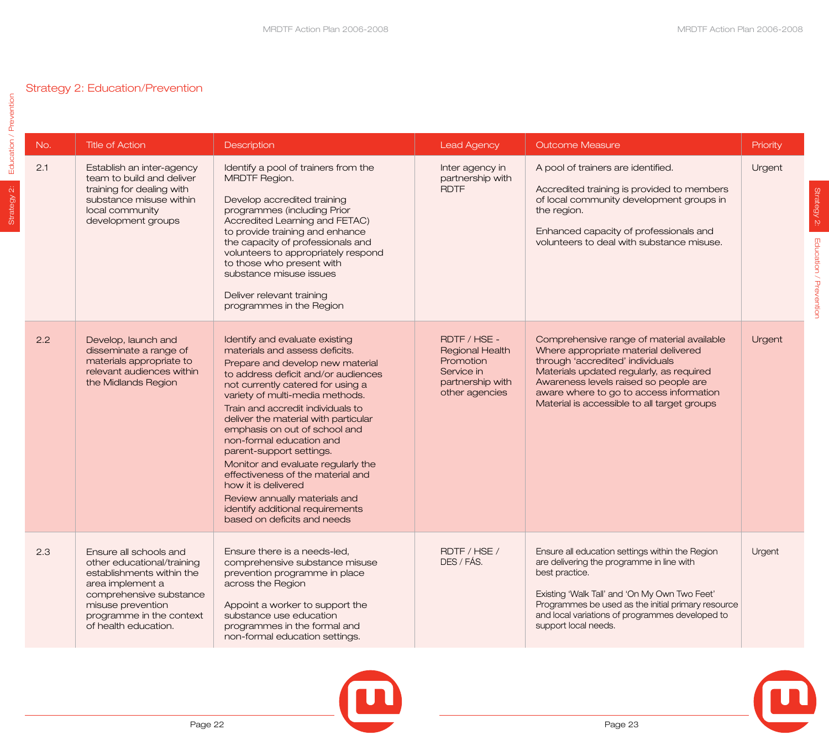Strategy 2:

Strategy 2:

Education / Prevention

Education / Prevention

## Strategy 2: Education/Prevention

| No. | <b>Title of Action</b>                                                                                                                                                                                    | Description                                                                                                                                                                                                                                                                                                                                                                                                                                                                                                                                                                                     | <b>Lead Agency</b>                                                                                      | <b>Outcome Measure</b>                                                                                                                                                                                                                                                                               | Priority |
|-----|-----------------------------------------------------------------------------------------------------------------------------------------------------------------------------------------------------------|-------------------------------------------------------------------------------------------------------------------------------------------------------------------------------------------------------------------------------------------------------------------------------------------------------------------------------------------------------------------------------------------------------------------------------------------------------------------------------------------------------------------------------------------------------------------------------------------------|---------------------------------------------------------------------------------------------------------|------------------------------------------------------------------------------------------------------------------------------------------------------------------------------------------------------------------------------------------------------------------------------------------------------|----------|
| 2.1 | Establish an inter-agency<br>team to build and deliver<br>training for dealing with<br>substance misuse within<br>local community<br>development groups                                                   | Identify a pool of trainers from the<br><b>MRDTF Region.</b><br>Develop accredited training<br>programmes (including Prior<br>Accredited Learning and FETAC)<br>to provide training and enhance<br>the capacity of professionals and<br>volunteers to appropriately respond<br>to those who present with<br>substance misuse issues<br>Deliver relevant training<br>programmes in the Region                                                                                                                                                                                                    | Inter agency in<br>partnership with<br><b>RDTF</b>                                                      | A pool of trainers are identified.<br>Accredited training is provided to members<br>of local community development groups in<br>the region.<br>Enhanced capacity of professionals and<br>volunteers to deal with substance misuse.                                                                   | Urgent   |
| 2.2 | Develop, launch and<br>disseminate a range of<br>materials appropriate to<br>relevant audiences within<br>the Midlands Region                                                                             | Identify and evaluate existing<br>materials and assess deficits.<br>Prepare and develop new material<br>to address deficit and/or audiences<br>not currently catered for using a<br>variety of multi-media methods.<br>Train and accredit individuals to<br>deliver the material with particular<br>emphasis on out of school and<br>non-formal education and<br>parent-support settings.<br>Monitor and evaluate regularly the<br>effectiveness of the material and<br>how it is delivered<br>Review annually materials and<br>identify additional requirements<br>based on deficits and needs | RDTF / HSE -<br><b>Regional Health</b><br>Promotion<br>Service in<br>partnership with<br>other agencies | Comprehensive range of material available<br>Where appropriate material delivered<br>through 'accredited' individuals<br>Materials updated regularly, as required<br>Awareness levels raised so people are<br>aware where to go to access information<br>Material is accessible to all target groups | Urgent   |
| 2.3 | Ensure all schools and<br>other educational/training<br>establishments within the<br>area implement a<br>comprehensive substance<br>misuse prevention<br>programme in the context<br>of health education. | Ensure there is a needs-led,<br>comprehensive substance misuse<br>prevention programme in place<br>across the Region<br>Appoint a worker to support the<br>substance use education<br>programmes in the formal and<br>non-formal education settings.                                                                                                                                                                                                                                                                                                                                            | RDTF / HSE /<br>DES / FÁS.                                                                              | Ensure all education settings within the Region<br>are delivering the programme in line with<br>best practice.<br>Existing 'Walk Tall' and 'On My Own Two Feet'<br>Programmes be used as the initial primary resource<br>and local variations of programmes developed to<br>support local needs.     | Urgent   |



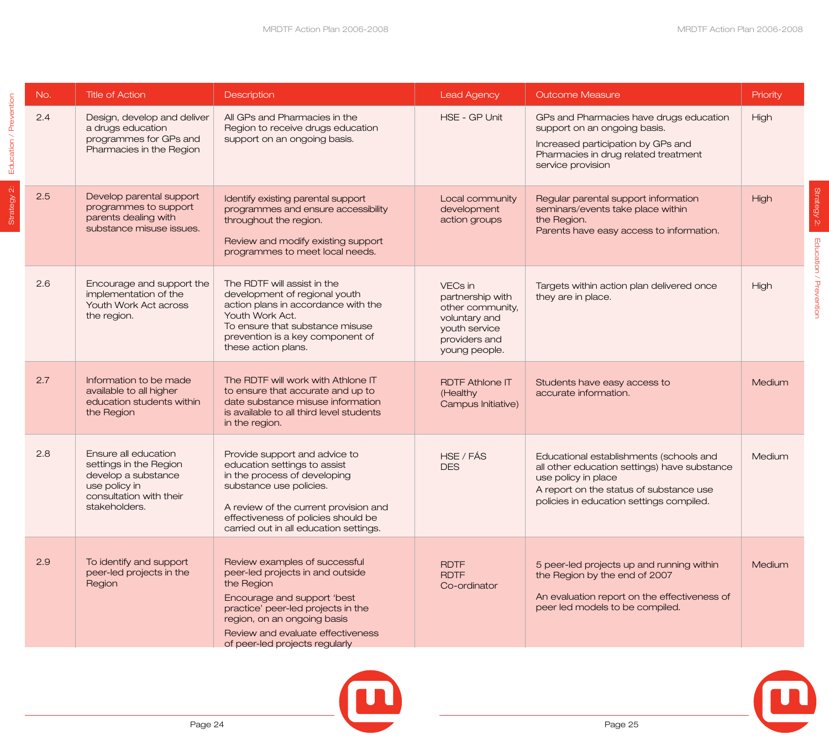Strategy 2:

Education / Prevention

Strategy 2: Education / Prevention

| No. | <b>Title of Action</b>                                                                                                             | Description                                                                                                                                                                                                                                                | <b>Lead Agency</b>                                                                                                  | <b>Outcome Measure</b>                                                                                                                                                                                | Priority |
|-----|------------------------------------------------------------------------------------------------------------------------------------|------------------------------------------------------------------------------------------------------------------------------------------------------------------------------------------------------------------------------------------------------------|---------------------------------------------------------------------------------------------------------------------|-------------------------------------------------------------------------------------------------------------------------------------------------------------------------------------------------------|----------|
| 2.4 | Design, develop and deliver<br>a drugs education<br>programmes for GPs and<br>Pharmacies in the Region                             | All GPs and Pharmacies in the<br>Region to receive drugs education<br>support on an ongoing basis.                                                                                                                                                         | HSE - GP Unit                                                                                                       | GPs and Pharmacies have drugs education<br>support on an ongoing basis.<br>Increased participation by GPs and<br>Pharmacies in drug related treatment<br>service provision                            | High     |
| 2.5 | Develop parental support<br>programmes to support<br>parents dealing with<br>substance misuse issues.                              | Identify existing parental support<br>programmes and ensure accessibility<br>throughout the region.<br>Review and modify existing support<br>programmes to meet local needs.                                                                               | Local community<br>development<br>action groups                                                                     | Regular parental support information<br>seminars/events take place within<br>the Region.<br>Parents have easy access to information.                                                                  | High     |
| 2.6 | Encourage and support the<br>implementation of the<br>Youth Work Act across<br>the region.                                         | The RDTF will assist in the<br>development of regional youth<br>action plans in accordance with the<br>Youth Work Act.<br>To ensure that substance misuse<br>prevention is a key component of<br>these action plans.                                       | VECs in<br>partnership with<br>other community,<br>voluntary and<br>youth service<br>providers and<br>young people. | Targets within action plan delivered once<br>they are in place.                                                                                                                                       | High     |
| 2.7 | Information to be made<br>available to all higher<br>education students within<br>the Region                                       | The RDTF will work with Athlone IT<br>to ensure that accurate and up to<br>date substance misuse information<br>is available to all third level students<br>in the region.                                                                                 | <b>RDTF Athlone IT</b><br>(Healthy<br>Campus Initiative)                                                            | Students have easy access to<br>accurate information.                                                                                                                                                 | Medium   |
| 2.8 | Ensure all education<br>settings in the Region<br>develop a substance<br>use policy in<br>consultation with their<br>stakeholders. | Provide support and advice to<br>education settings to assist<br>in the process of developing<br>substance use policies.<br>A review of the current provision and<br>effectiveness of policies should be<br>carried out in all education settings.         | HSE / FÁS<br><b>DES</b>                                                                                             | Educational establishments (schools and<br>all other education settings) have substance<br>use policy in place<br>A report on the status of substance use<br>policies in education settings compiled. | Medium   |
| 2.9 | To identify and support<br>peer-led projects in the<br>Region                                                                      | Review examples of successful<br>peer-led projects in and outside<br>the Region<br>Encourage and support 'best<br>practice' peer-led projects in the<br>region, on an ongoing basis<br>Review and evaluate effectiveness<br>of peer-led projects regularly | <b>RDTF</b><br><b>RDTF</b><br>Co-ordinator                                                                          | 5 peer-led projects up and running within<br>the Region by the end of 2007<br>An evaluation report on the effectiveness of<br>peer led models to be compiled.                                         | Medium   |





Strategy 2: **Education / Prevention** 

Strategy 2:

Education / Prevention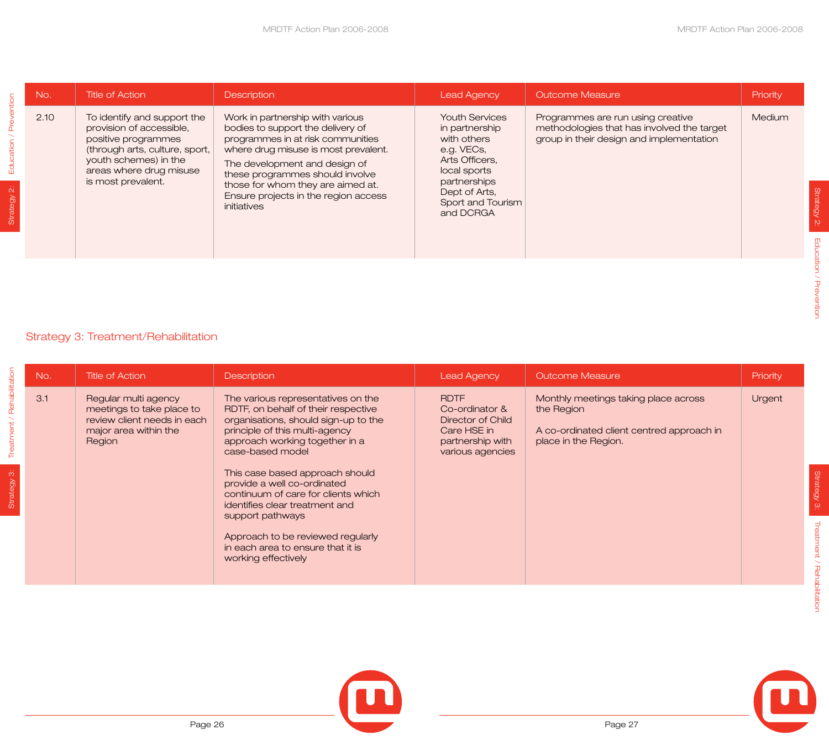| Education / Prevention | No.  | <b>Title of Action</b>                                                                                                                                                                     | Description                                                                                                                                                                                                                                                                                                        | <b>Lead Agency</b>                                                                                                                                                        | <b>Outcome Measure</b>                                                                                                      | Priority |
|------------------------|------|--------------------------------------------------------------------------------------------------------------------------------------------------------------------------------------------|--------------------------------------------------------------------------------------------------------------------------------------------------------------------------------------------------------------------------------------------------------------------------------------------------------------------|---------------------------------------------------------------------------------------------------------------------------------------------------------------------------|-----------------------------------------------------------------------------------------------------------------------------|----------|
|                        | 2.10 | To identify and support the<br>provision of accessible,<br>positive programmes<br>(through arts, culture, sport,<br>youth schemes) in the<br>areas where drug misuse<br>is most prevalent. | Work in partnership with various<br>bodies to support the delivery of<br>programmes in at risk communities<br>where drug misuse is most prevalent.<br>The development and design of<br>these programmes should involve<br>those for whom they are aimed at.<br>Ensure projects in the region access<br>initiatives | <b>Youth Services</b><br>in partnership<br>with others<br>e.g. VECs,<br>Arts Officers,<br>local sports<br>partnerships<br>Dept of Arts,<br>Sport and Tourism<br>and DCRGA | Programmes are run using creative<br>methodologies that has involved the target<br>group in their design and implementation | Medium   |
|                        |      |                                                                                                                                                                                            |                                                                                                                                                                                                                                                                                                                    |                                                                                                                                                                           |                                                                                                                             |          |
|                        |      | Strategy 3: Treatment/Rehabilitation                                                                                                                                                       |                                                                                                                                                                                                                                                                                                                    |                                                                                                                                                                           |                                                                                                                             |          |
|                        | No.  | <b>Title of Action</b>                                                                                                                                                                     | Description                                                                                                                                                                                                                                                                                                        | <b>Lead Agency</b>                                                                                                                                                        | <b>Outcome Measure</b>                                                                                                      | Priority |
|                        | 3.1  | Regular multi agency<br>meetings to take place to<br>review client needs in each<br>major area within the<br>Region                                                                        | The various representatives on the<br>RDTF, on behalf of their respective<br>organisations, should sign-up to the<br>principle of this multi-agency<br>approach working together in a<br>case-based model                                                                                                          | <b>RDTF</b><br>Co-ordinator &<br><b>Director of Child</b><br>Care HSE in<br>partnership with<br>various agencies                                                          | Monthly meetings taking place across<br>the Region<br>A co-ordinated client centred approach in<br>place in the Region.     | Urgent   |

## Strategy 3: Treatment/Rehabilitation

|                                    | No. | <b>Title of Action</b>                                                                                              | <b>Description</b>                                                                                                                                                                                                                                           | <b>Lead Agency</b>                                                                                               | <b>Outcome Measure</b>                                                                                                  | Priority |
|------------------------------------|-----|---------------------------------------------------------------------------------------------------------------------|--------------------------------------------------------------------------------------------------------------------------------------------------------------------------------------------------------------------------------------------------------------|------------------------------------------------------------------------------------------------------------------|-------------------------------------------------------------------------------------------------------------------------|----------|
| Rehabilitation                     | 3.1 | Regular multi agency<br>meetings to take place to<br>review client needs in each<br>major area within the<br>Region | The various representatives on the<br>RDTF, on behalf of their respective<br>organisations, should sign-up to the<br>principle of this multi-agency<br>approach working together in a<br>case-based model                                                    | <b>RDTF</b><br>Co-ordinator &<br><b>Director of Child</b><br>Care HSE in<br>partnership with<br>various agencies | Monthly meetings taking place across<br>the Region<br>A co-ordinated client centred approach in<br>place in the Region. | Urgent   |
| $\tilde{\mathfrak{S}}$<br>Strategy |     |                                                                                                                     | This case based approach should<br>provide a well co-ordinated<br>continuum of care for clients which<br>identifies clear treatment and<br>support pathways<br>Approach to be reviewed regularly<br>in each area to ensure that it is<br>working effectively |                                                                                                                  |                                                                                                                         |          |

 $\begin{bmatrix} \blacksquare \end{bmatrix}$ 



Strategy 2:

Strategy 2:

Education / Prevention

Education / Prevention

Strategy 3:

Strategy 3:

Treatment / Rehabilitation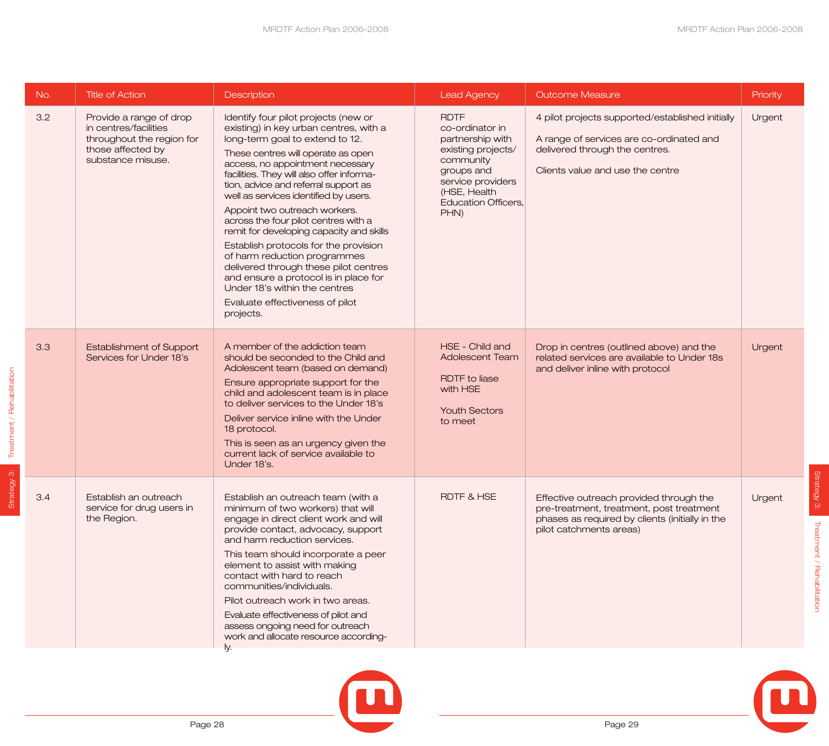| No. | <b>Title of Action</b>                                                                                                  | Description                                                                                                                                                                                                                                                                                                                                                                                                                                                                                                                                                                                                                                                                                | <b>Lead Agency</b>                                                                                                                                                             | <b>Outcome Measure</b>                                                                                                                                             | Priority |
|-----|-------------------------------------------------------------------------------------------------------------------------|--------------------------------------------------------------------------------------------------------------------------------------------------------------------------------------------------------------------------------------------------------------------------------------------------------------------------------------------------------------------------------------------------------------------------------------------------------------------------------------------------------------------------------------------------------------------------------------------------------------------------------------------------------------------------------------------|--------------------------------------------------------------------------------------------------------------------------------------------------------------------------------|--------------------------------------------------------------------------------------------------------------------------------------------------------------------|----------|
| 3.2 | Provide a range of drop<br>in centres/facilities<br>throughout the region for<br>those affected by<br>substance misuse. | Identify four pilot projects (new or<br>existing) in key urban centres, with a<br>long-term goal to extend to 12.<br>These centres will operate as open<br>access, no appointment necessary<br>facilities. They will also offer informa-<br>tion, advice and referral support as<br>well as services identified by users.<br>Appoint two outreach workers.<br>across the four pilot centres with a<br>remit for developing capacity and skills<br>Establish protocols for the provision<br>of harm reduction programmes<br>delivered through these pilot centres<br>and ensure a protocol is in place for<br>Under 18's within the centres<br>Evaluate effectiveness of pilot<br>projects. | <b>RDTF</b><br>co-ordinator in<br>partnership with<br>existing projects/<br>community<br>groups and<br>service providers<br>(HSE, Health<br><b>Education Officers,</b><br>PHN) | 4 pilot projects supported/established initially<br>A range of services are co-ordinated and<br>delivered through the centres.<br>Clients value and use the centre | Urgent   |
| 3.3 | <b>Establishment of Support</b><br>Services for Under 18's                                                              | A member of the addiction team<br>should be seconded to the Child and<br>Adolescent team (based on demand)<br>Ensure appropriate support for the<br>child and adolescent team is in place<br>to deliver services to the Under 18's<br>Deliver service inline with the Under<br>18 protocol.<br>This is seen as an urgency given the<br>current lack of service available to<br>Under 18's.                                                                                                                                                                                                                                                                                                 | HSE - Child and<br><b>Adolescent Team</b><br><b>RDTF</b> to liase<br>with HSE<br><b>Youth Sectors</b><br>to meet                                                               | Drop in centres (outlined above) and the<br>related services are available to Under 18s<br>and deliver inline with protocol                                        | Urgent   |
| 3.4 | Establish an outreach<br>service for drug users in<br>the Region.                                                       | Establish an outreach team (with a<br>minimum of two workers) that will<br>engage in direct client work and will<br>provide contact, advocacy, support<br>and harm reduction services.<br>This team should incorporate a peer<br>element to assist with making<br>contact with hard to reach<br>communities/individuals.<br>Pilot outreach work in two areas.<br>Evaluate effectiveness of pilot and<br>assess ongoing need for outreach<br>work and allocate resource according-<br>ly.                                                                                                                                                                                                   | <b>RDTF &amp; HSE</b>                                                                                                                                                          | Effective outreach provided through the<br>pre-treatment, treatment, post treatment<br>phases as required by clients (initially in the<br>pilot catchments areas)  | Urgent   |





Strategy 3:

Strategy 3:

Treatment / Rehabilitation

Treatment / Rehabilitation

Strategy 3: Treatment / Rehabilitation

Strategy 3:

Treatment / Rehabilitation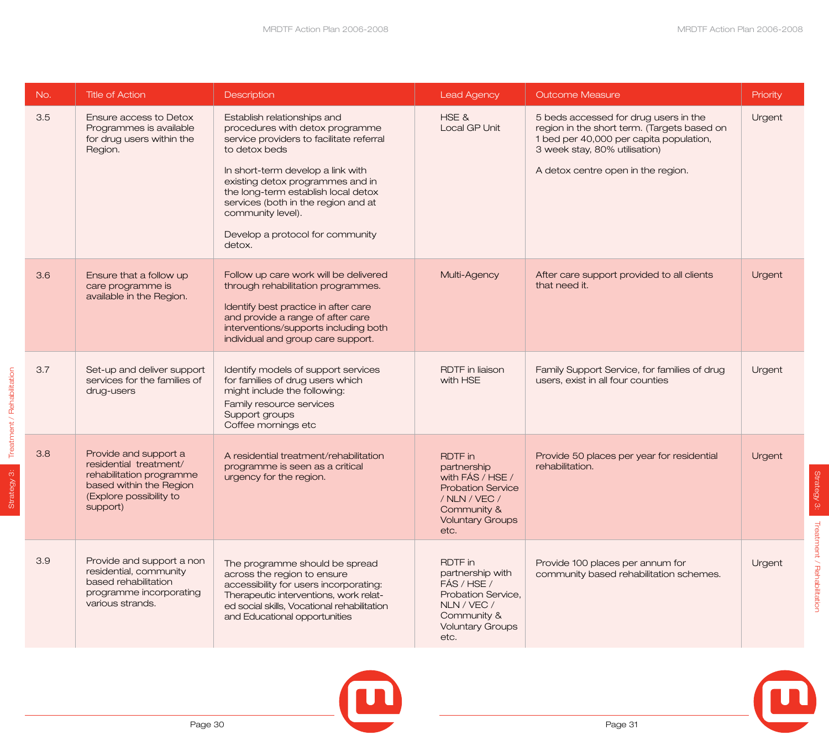| No. | <b>Title of Action</b>                                                                                                                        | Description                                                                                                                                                                                                                                                                                                                                           | <b>Lead Agency</b>                                                                                                                               | <b>Outcome Measure</b>                                                                                                                                                                                 | Priority |
|-----|-----------------------------------------------------------------------------------------------------------------------------------------------|-------------------------------------------------------------------------------------------------------------------------------------------------------------------------------------------------------------------------------------------------------------------------------------------------------------------------------------------------------|--------------------------------------------------------------------------------------------------------------------------------------------------|--------------------------------------------------------------------------------------------------------------------------------------------------------------------------------------------------------|----------|
| 3.5 | Ensure access to Detox<br>Programmes is available<br>for drug users within the<br>Region.                                                     | Establish relationships and<br>procedures with detox programme<br>service providers to facilitate referral<br>to detox beds<br>In short-term develop a link with<br>existing detox programmes and in<br>the long-term establish local detox<br>services (both in the region and at<br>community level).<br>Develop a protocol for community<br>detox. | HSE &<br>Local GP Unit                                                                                                                           | 5 beds accessed for drug users in the<br>region in the short term. (Targets based on<br>1 bed per 40,000 per capita population,<br>3 week stay, 80% utilisation)<br>A detox centre open in the region. | Urgent   |
| 3.6 | Ensure that a follow up<br>care programme is<br>available in the Region.                                                                      | Follow up care work will be delivered<br>through rehabilitation programmes.<br>Identify best practice in after care<br>and provide a range of after care<br>interventions/supports including both<br>individual and group care support.                                                                                                               | Multi-Agency                                                                                                                                     | After care support provided to all clients<br>that need it.                                                                                                                                            | Urgent   |
| 3.7 | Set-up and deliver support<br>services for the families of<br>drug-users                                                                      | Identify models of support services<br>for families of drug users which<br>might include the following:<br>Family resource services<br>Support groups<br>Coffee mornings etc                                                                                                                                                                          | <b>RDTF</b> in liaison<br>with HSE                                                                                                               | Family Support Service, for families of drug<br>users, exist in all four counties                                                                                                                      | Urgent   |
| 3.8 | Provide and support a<br>residential treatment/<br>rehabilitation programme<br>based within the Region<br>(Explore possibility to<br>support) | A residential treatment/rehabilitation<br>programme is seen as a critical<br>urgency for the region.                                                                                                                                                                                                                                                  | <b>RDTF</b> in<br>partnership<br>with FÁS / HSE /<br><b>Probation Service</b><br>/ NLN / VEC /<br>Community &<br><b>Voluntary Groups</b><br>etc. | Provide 50 places per year for residential<br>rehabilitation.                                                                                                                                          | Urgent   |
| 3.9 | Provide and support a non<br>residential, community<br>based rehabilitation<br>programme incorporating<br>various strands.                    | The programme should be spread<br>across the region to ensure<br>accessibility for users incorporating:<br>Therapeutic interventions, work relat-<br>ed social skills, Vocational rehabilitation<br>and Educational opportunities                                                                                                                     | <b>RDTF</b> in<br>partnership with<br>FÁS / HSE /<br>Probation Service,<br>NLN / VEC /<br>Community &<br><b>Voluntary Groups</b><br>etc.         | Provide 100 places per annum for<br>community based rehabilitation schemes.                                                                                                                            | Urgent   |



Strategy 3:

Strategy 3:

Treatment / Rehabilitation

Treatment / Rehabilitation

Strategy 3: Treatment / Rehabilitation

Strategy 3:

Treatment / Rehabilitation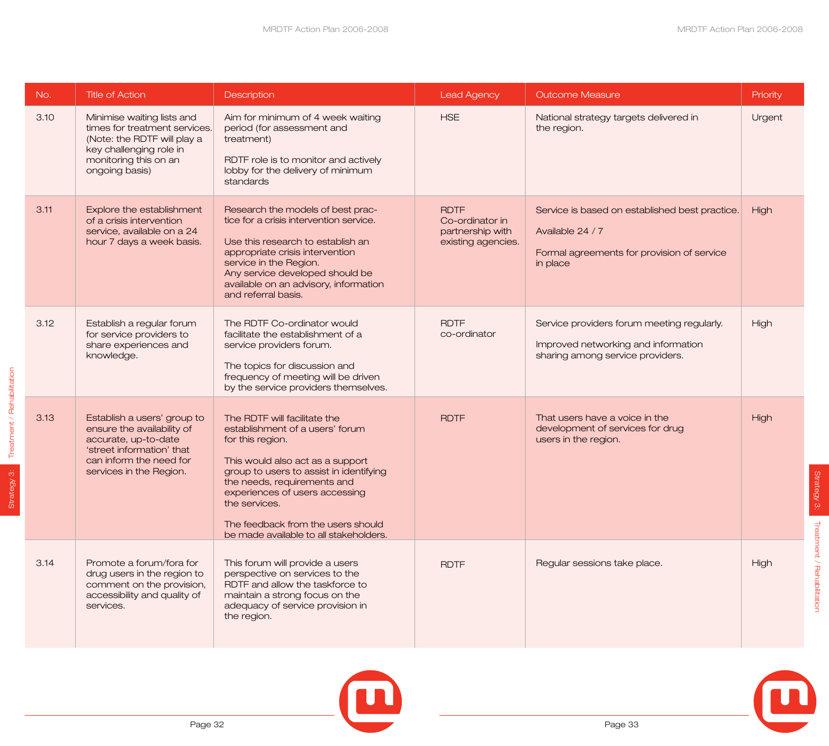| No.  | <b>Title of Action</b>                                                                                                                                               | <b>Description</b>                                                                                                                                                                                                                                                                                                                   | <b>Lead Agency</b>                                                       | <b>Outcome Measure</b>                                                                                                       | Priority |
|------|----------------------------------------------------------------------------------------------------------------------------------------------------------------------|--------------------------------------------------------------------------------------------------------------------------------------------------------------------------------------------------------------------------------------------------------------------------------------------------------------------------------------|--------------------------------------------------------------------------|------------------------------------------------------------------------------------------------------------------------------|----------|
| 3.10 | Minimise waiting lists and<br>times for treatment services.<br>(Note: the RDTF will play a<br>key challenging role in<br>monitoring this on an<br>ongoing basis)     | Aim for minimum of 4 week waiting<br>period (for assessment and<br>treatment)<br>RDTF role is to monitor and actively<br>lobby for the delivery of minimum<br>standards                                                                                                                                                              | <b>HSE</b>                                                               | National strategy targets delivered in<br>the region.                                                                        | Urgent   |
| 3.11 | Explore the establishment<br>of a crisis intervention<br>service, available on a 24<br>hour 7 days a week basis.                                                     | Research the models of best prac-<br>tice for a crisis intervention service.<br>Use this research to establish an<br>appropriate crisis intervention<br>service in the Region.<br>Any service developed should be<br>available on an advisory, information<br>and referral basis.                                                    | <b>RDTF</b><br>Co-ordinator in<br>partnership with<br>existing agencies. | Service is based on established best practice.<br>Available 24 / 7<br>Formal agreements for provision of service<br>in place | High     |
| 3.12 | Establish a regular forum<br>for service providers to<br>share experiences and<br>knowledge.                                                                         | The RDTF Co-ordinator would<br>facilitate the establishment of a<br>service providers forum.<br>The topics for discussion and<br>frequency of meeting will be driven<br>by the service providers themselves.                                                                                                                         | <b>RDTF</b><br>co-ordinator                                              | Service providers forum meeting regularly.<br>Improved networking and information<br>sharing among service providers.        | High     |
| 3.13 | Establish a users' group to<br>ensure the availability of<br>accurate, up-to-date<br>'street information' that<br>can inform the need for<br>services in the Region. | The RDTF will facilitate the<br>establishment of a users' forum<br>for this region.<br>This would also act as a support<br>group to users to assist in identifying<br>the needs, requirements and<br>experiences of users accessing<br>the services.<br>The feedback from the users should<br>be made available to all stakeholders. | <b>RDTF</b>                                                              | That users have a voice in the<br>development of services for drug<br>users in the region.                                   | High     |
| 3.14 | Promote a forum/fora for<br>drug users in the region to<br>comment on the provision,<br>accessibility and quality of<br>services.                                    | This forum will provide a users<br>perspective on services to the<br>RDTF and allow the taskforce to<br>maintain a strong focus on the<br>adequacy of service provision in<br>the region.                                                                                                                                            | <b>RDTF</b>                                                              | Regular sessions take place.                                                                                                 | High     |



Page 32

Strategy 3: Treatment / Rehabilitation

Strategy 3:

Treatment / Rehabilitation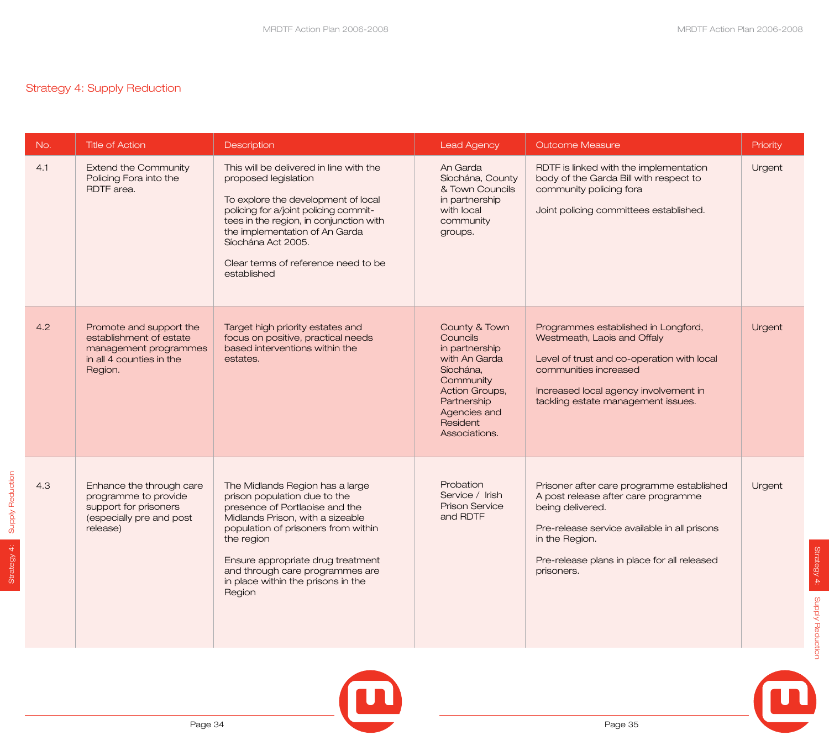## Strategy 4: Supply Reduction

Strategy 4: Supply Reduction

Strategy 4:

Supply Reduction

| No. | <b>Title of Action</b>                                                                                             | Description                                                                                                                                                                                                                                                                                                        | <b>Lead Agency</b>                                                                                                                                                          | <b>Outcome Measure</b>                                                                                                                                                                                                              | Priority |
|-----|--------------------------------------------------------------------------------------------------------------------|--------------------------------------------------------------------------------------------------------------------------------------------------------------------------------------------------------------------------------------------------------------------------------------------------------------------|-----------------------------------------------------------------------------------------------------------------------------------------------------------------------------|-------------------------------------------------------------------------------------------------------------------------------------------------------------------------------------------------------------------------------------|----------|
| 4.1 | <b>Extend the Community</b><br>Policing Fora into the<br>RDTF area.                                                | This will be delivered in line with the<br>proposed legislation<br>To explore the development of local<br>policing for a/joint policing commit-<br>tees in the region, in conjunction with<br>the implementation of An Garda<br>Síochána Act 2005.<br>Clear terms of reference need to be<br>established           | An Garda<br>Síochána, County<br>& Town Councils<br>in partnership<br>with local<br>community<br>groups.                                                                     | RDTF is linked with the implementation<br>body of the Garda Bill with respect to<br>community policing fora<br>Joint policing committees established.                                                                               | Urgent   |
| 4.2 | Promote and support the<br>establishment of estate<br>management programmes<br>in all 4 counties in the<br>Region. | Target high priority estates and<br>focus on positive, practical needs<br>based interventions within the<br>estates.                                                                                                                                                                                               | County & Town<br><b>Councils</b><br>in partnership<br>with An Garda<br>Síochána,<br>Community<br>Action Groups,<br>Partnership<br>Agencies and<br>Resident<br>Associations. | Programmes established in Longford,<br>Westmeath, Laois and Offaly<br>Level of trust and co-operation with local<br>communities increased<br>Increased local agency involvement in<br>tackling estate management issues.            | Urgent   |
| 4.3 | Enhance the through care<br>programme to provide<br>support for prisoners<br>(especially pre and post<br>release)  | The Midlands Region has a large<br>prison population due to the<br>presence of Portlaoise and the<br>Midlands Prison, with a sizeable<br>population of prisoners from within<br>the region<br>Ensure appropriate drug treatment<br>and through care programmes are<br>in place within the prisons in the<br>Region | Probation<br>Service / Irish<br><b>Prison Service</b><br>and RDTF                                                                                                           | Prisoner after care programme established<br>A post release after care programme<br>being delivered.<br>Pre-release service available in all prisons<br>in the Region.<br>Pre-release plans in place for all released<br>prisoners. | Urgent   |



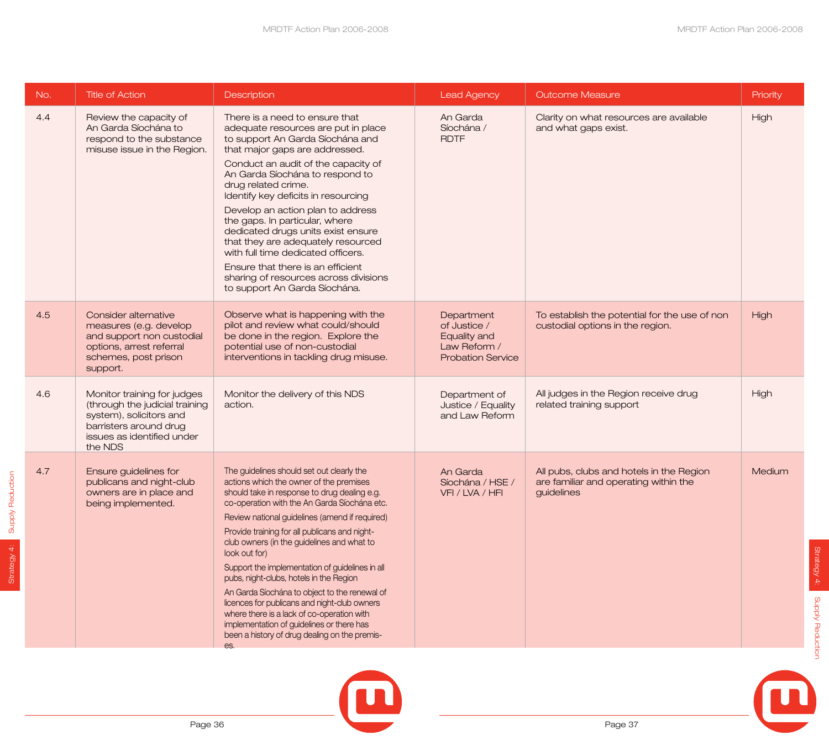MRDTF Action Plan 2006-2008

| No. | <b>Title of Action</b>                                                                                                                                      | Description                                                                                                                                                                                                                                                                                                                                                                                                                                                                                                                                                                                                                                                                                              | <b>Lead Agency</b>                                                                     | <b>Outcome Measure</b>                                                                          | Priority    |
|-----|-------------------------------------------------------------------------------------------------------------------------------------------------------------|----------------------------------------------------------------------------------------------------------------------------------------------------------------------------------------------------------------------------------------------------------------------------------------------------------------------------------------------------------------------------------------------------------------------------------------------------------------------------------------------------------------------------------------------------------------------------------------------------------------------------------------------------------------------------------------------------------|----------------------------------------------------------------------------------------|-------------------------------------------------------------------------------------------------|-------------|
| 4.4 | Review the capacity of<br>An Garda Síochána to<br>respond to the substance<br>misuse issue in the Region.                                                   | There is a need to ensure that<br>adequate resources are put in place<br>to support An Garda Síochána and<br>that major gaps are addressed.<br>Conduct an audit of the capacity of<br>An Garda Síochána to respond to<br>drug related crime.<br>Identify key deficits in resourcing<br>Develop an action plan to address<br>the gaps. In particular, where<br>dedicated drugs units exist ensure<br>that they are adequately resourced<br>with full time dedicated officers.<br>Ensure that there is an efficient<br>sharing of resources across divisions<br>to support An Garda Síochána.                                                                                                              | An Garda<br>Síochána /<br><b>RDTF</b>                                                  | Clarity on what resources are available<br>and what gaps exist.                                 | High        |
| 4.5 | Consider alternative<br>measures (e.g. develop<br>and support non custodial<br>options, arrest referral<br>schemes, post prison<br>support.                 | Observe what is happening with the<br>pilot and review what could/should<br>be done in the region. Explore the<br>potential use of non-custodial<br>interventions in tackling drug misuse.                                                                                                                                                                                                                                                                                                                                                                                                                                                                                                               | Department<br>of Justice /<br>Equality and<br>Law Reform /<br><b>Probation Service</b> | To establish the potential for the use of non<br>custodial options in the region.               | <b>High</b> |
| 4.6 | Monitor training for judges<br>(through the judicial training<br>system), solicitors and<br>barristers around drug<br>issues as identified under<br>the NDS | Monitor the delivery of this NDS<br>action.                                                                                                                                                                                                                                                                                                                                                                                                                                                                                                                                                                                                                                                              | Department of<br>Justice / Equality<br>and Law Reform                                  | All judges in the Region receive drug<br>related training support                               | High        |
| 4.7 | Ensure guidelines for<br>publicans and night-club<br>owners are in place and<br>being implemented.                                                          | The guidelines should set out clearly the<br>actions which the owner of the premises<br>should take in response to drug dealing e.g.<br>co-operation with the An Garda Síochána etc.<br>Review national guidelines (amend if required)<br>Provide training for all publicans and night-<br>club owners (in the guidelines and what to<br>look out for)<br>Support the implementation of guidelines in all<br>pubs, night-clubs, hotels in the Region<br>An Garda Síochána to object to the renewal of<br>licences for publicans and night-club owners<br>where there is a lack of co-operation with<br>implementation of guidelines or there has<br>been a history of drug dealing on the premis-<br>es. | An Garda<br>Síochána / HSE /<br>VFI / LVA / HFI                                        | All pubs, clubs and hotels in the Region<br>are familiar and operating within the<br>guidelines | Medium      |





Strategy 4: Supply Reduction

Strategy 4: Supply Reduction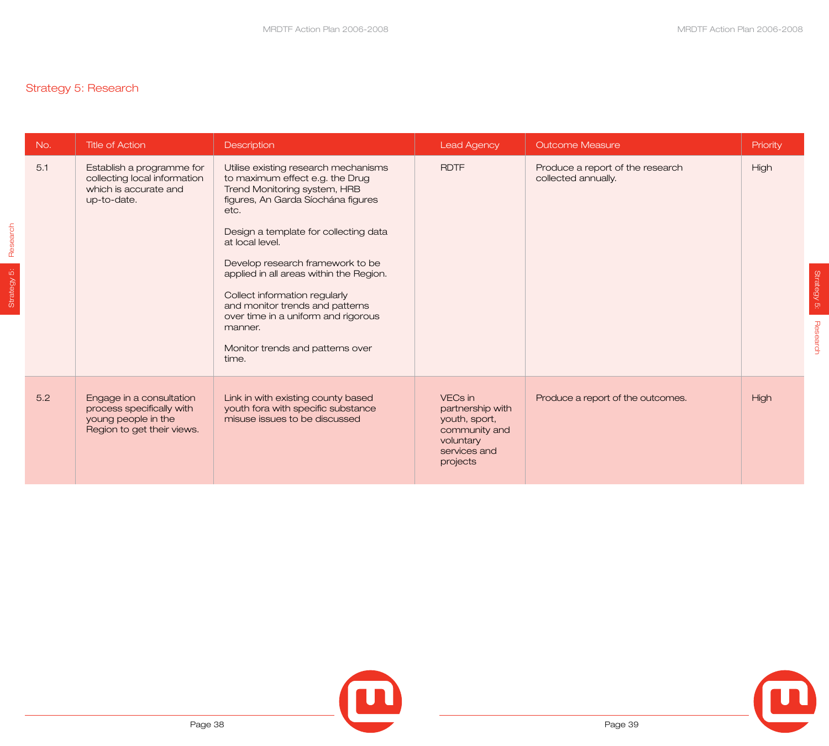## Strategy 5: Research

Strategy 5: **Research** 

Strategy 5: Research

| No. | <b>Title of Action</b>                                                                                     | <b>Description</b>                                                                                                                                                                                                                                                                                                                                                                                                                                                  | <b>Lead Agency</b>                                                                                     | <b>Outcome Measure</b>                                  | Priority |
|-----|------------------------------------------------------------------------------------------------------------|---------------------------------------------------------------------------------------------------------------------------------------------------------------------------------------------------------------------------------------------------------------------------------------------------------------------------------------------------------------------------------------------------------------------------------------------------------------------|--------------------------------------------------------------------------------------------------------|---------------------------------------------------------|----------|
| 5.1 | Establish a programme for<br>collecting local information<br>which is accurate and<br>up-to-date.          | Utilise existing research mechanisms<br>to maximum effect e.g. the Drug<br>Trend Monitoring system, HRB<br>figures, An Garda Síochána figures<br>etc.<br>Design a template for collecting data<br>at local level.<br>Develop research framework to be<br>applied in all areas within the Region.<br>Collect information regularly<br>and monitor trends and patterns<br>over time in a uniform and rigorous<br>manner.<br>Monitor trends and patterns over<br>time. | <b>RDTF</b>                                                                                            | Produce a report of the research<br>collected annually. | High     |
| 5.2 | Engage in a consultation<br>process specifically with<br>young people in the<br>Region to get their views. | Link in with existing county based<br>youth fora with specific substance<br>misuse issues to be discussed                                                                                                                                                                                                                                                                                                                                                           | VECs in<br>partnership with<br>youth, sport,<br>community and<br>voluntary<br>services and<br>projects | Produce a report of the outcomes.                       | High     |





Strategy 5:

Strategy 5:

Research

**Research**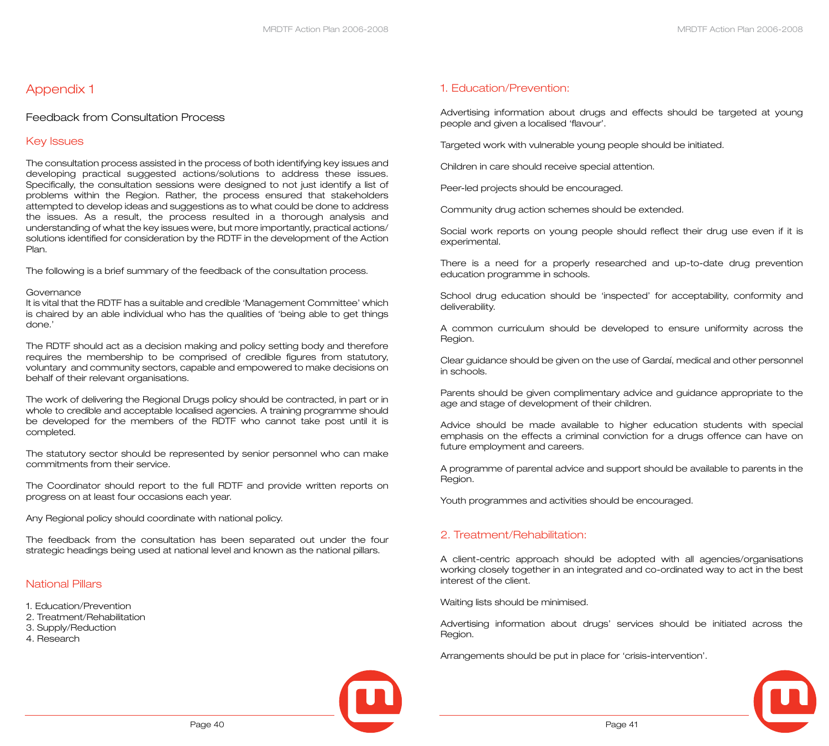## Appendix 1

#### Feedback from Consultation Process

#### Key Issues

The consultation process assisted in the process of both identifying key issues and developing practical suggested actions/solutions to address these issues. Specifically, the consultation sessions were designed to not just identify a list of problems within the Region. Rather, the process ensured that stakeholders attempted to develop ideas and suggestions as to what could be done to address the issues. As a result, the process resulted in a thorough analysis and understanding of what the key issues were, but more importantly, practical actions/ solutions identified for consideration by the RDTF in the development of the Action Plan.

The following is a brief summary of the feedback of the consultation process.

#### Governance

It is vital that the RDTF has a suitable and credible 'Management Committee' which is chaired by an able individual who has the qualities of 'being able to get things done.'

The RDTF should act as a decision making and policy setting body and therefore requires the membership to be comprised of credible figures from statutory, voluntary and community sectors, capable and empowered to make decisions on behalf of their relevant organisations.

The work of delivering the Regional Drugs policy should be contracted, in part or in whole to credible and acceptable localised agencies. A training programme should be developed for the members of the RDTF who cannot take post until it is completed.

The statutory sector should be represented by senior personnel who can make commitments from their service.

The Coordinator should report to the full RDTF and provide written reports on progress on at least four occasions each year.

Any Regional policy should coordinate with national policy.

The feedback from the consultation has been separated out under the four strategic headings being used at national level and known as the national pillars.

#### National Pillars

- 1. Education/Prevention
- 2. Treatment/Rehabilitation
- 3. Supply/Reduction
- 4. Research

#### 1. Education/Prevention:

Advertising information about drugs and effects should be targeted at young people and given a localised 'flavour'.

Targeted work with vulnerable young people should be initiated.

Children in care should receive special attention.

Peer-led projects should be encouraged.

Community drug action schemes should be extended.

Social work reports on young people should reflect their drug use even if it is experimental.

There is a need for a properly researched and up-to-date drug prevention education programme in schools.

School drug education should be 'inspected' for acceptability, conformity and deliverability.

A common curriculum should be developed to ensure uniformity across the Region.

Clear guidance should be given on the use of Gardaí, medical and other personnel in schools.

Parents should be given complimentary advice and guidance appropriate to the age and stage of development of their children.

Advice should be made available to higher education students with special emphasis on the effects a criminal conviction for a drugs offence can have on future employment and careers.

A programme of parental advice and support should be available to parents in the Region.

Youth programmes and activities should be encouraged.

#### 2. Treatment/Rehabilitation:

A client-centric approach should be adopted with all agencies/organisations working closely together in an integrated and co-ordinated way to act in the best interest of the client.

Waiting lists should be minimised.

Advertising information about drugs' services should be initiated across the Region.

Arrangements should be put in place for 'crisis-intervention'.

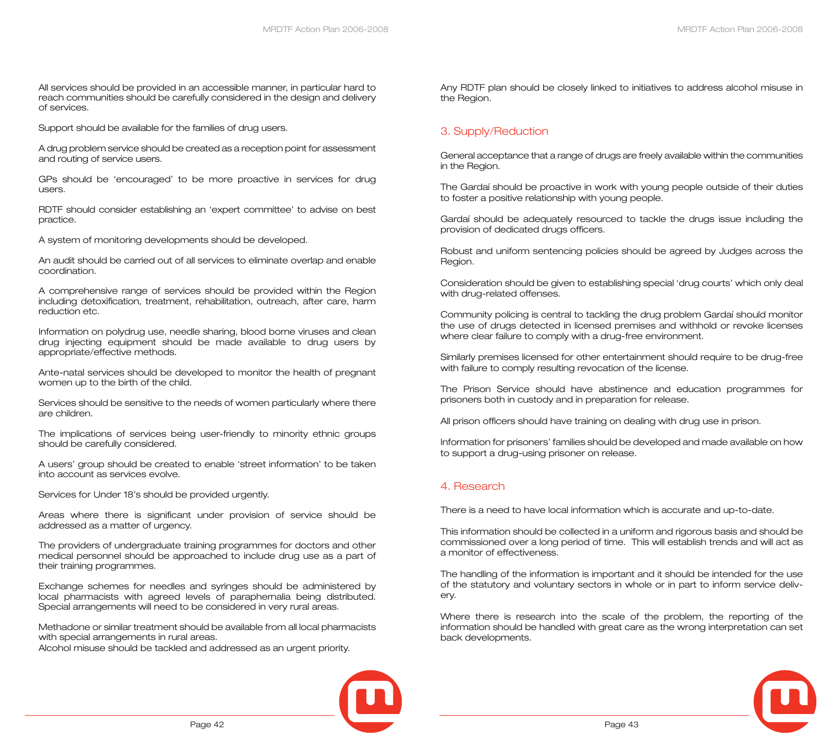All services should be provided in an accessible manner, in particular hard to reach communities should be carefully considered in the design and delivery of services.

Support should be available for the families of drug users.

A drug problem service should be created as a reception point for assessment and routing of service users.

GPs should be 'encouraged' to be more proactive in services for drug users.

RDTF should consider establishing an 'expert committee' to advise on best practice.

A system of monitoring developments should be developed.

An audit should be carried out of all services to eliminate overlap and enable coordination.

A comprehensive range of services should be provided within the Region including detoxification, treatment, rehabilitation, outreach, after care, harm reduction etc.

Information on polydrug use, needle sharing, blood borne viruses and clean drug injecting equipment should be made available to drug users by appropriate/effective methods.

Ante-natal services should be developed to monitor the health of pregnant women up to the birth of the child.

Services should be sensitive to the needs of women particularly where there are children.

The implications of services being user-friendly to minority ethnic groups should be carefully considered.

A users' group should be created to enable 'street information' to be taken into account as services evolve.

Services for Under 18's should be provided urgently.

Areas where there is significant under provision of service should be addressed as a matter of urgency.

The providers of undergraduate training programmes for doctors and other medical personnel should be approached to include drug use as a part of their training programmes.

Exchange schemes for needles and syringes should be administered by local pharmacists with agreed levels of paraphernalia being distributed. Special arrangements will need to be considered in very rural areas.

Methadone or similar treatment should be available from all local pharmacists with special arrangements in rural areas.

Alcohol misuse should be tackled and addressed as an urgent priority.



Any RDTF plan should be closely linked to initiatives to address alcohol misuse in the Region.

#### 3. Supply/Reduction

General acceptance that a range of drugs are freely available within the communities in the Region.

The Gardaí should be proactive in work with young people outside of their duties to foster a positive relationship with young people.

Gardaí should be adequately resourced to tackle the drugs issue including the provision of dedicated drugs officers.

Robust and uniform sentencing policies should be agreed by Judges across the Region.

Consideration should be given to establishing special 'drug courts' which only deal with drug-related offenses.

Community policing is central to tackling the drug problem Gardaí should monitor the use of drugs detected in licensed premises and withhold or revoke licenses where clear failure to comply with a drug-free environment.

Similarly premises licensed for other entertainment should require to be drug-free with failure to comply resulting revocation of the license.

The Prison Service should have abstinence and education programmes for prisoners both in custody and in preparation for release.

All prison officers should have training on dealing with drug use in prison.

Information for prisoners' families should be developed and made available on how to support a drug-using prisoner on release.

#### 4. Research

There is a need to have local information which is accurate and up-to-date.

This information should be collected in a uniform and rigorous basis and should be commissioned over a long period of time. This will establish trends and will act as a monitor of effectiveness.

The handling of the information is important and it should be intended for the use of the statutory and voluntary sectors in whole or in part to inform service delivery.

Where there is research into the scale of the problem, the reporting of the information should be handled with great care as the wrong interpretation can set back developments.